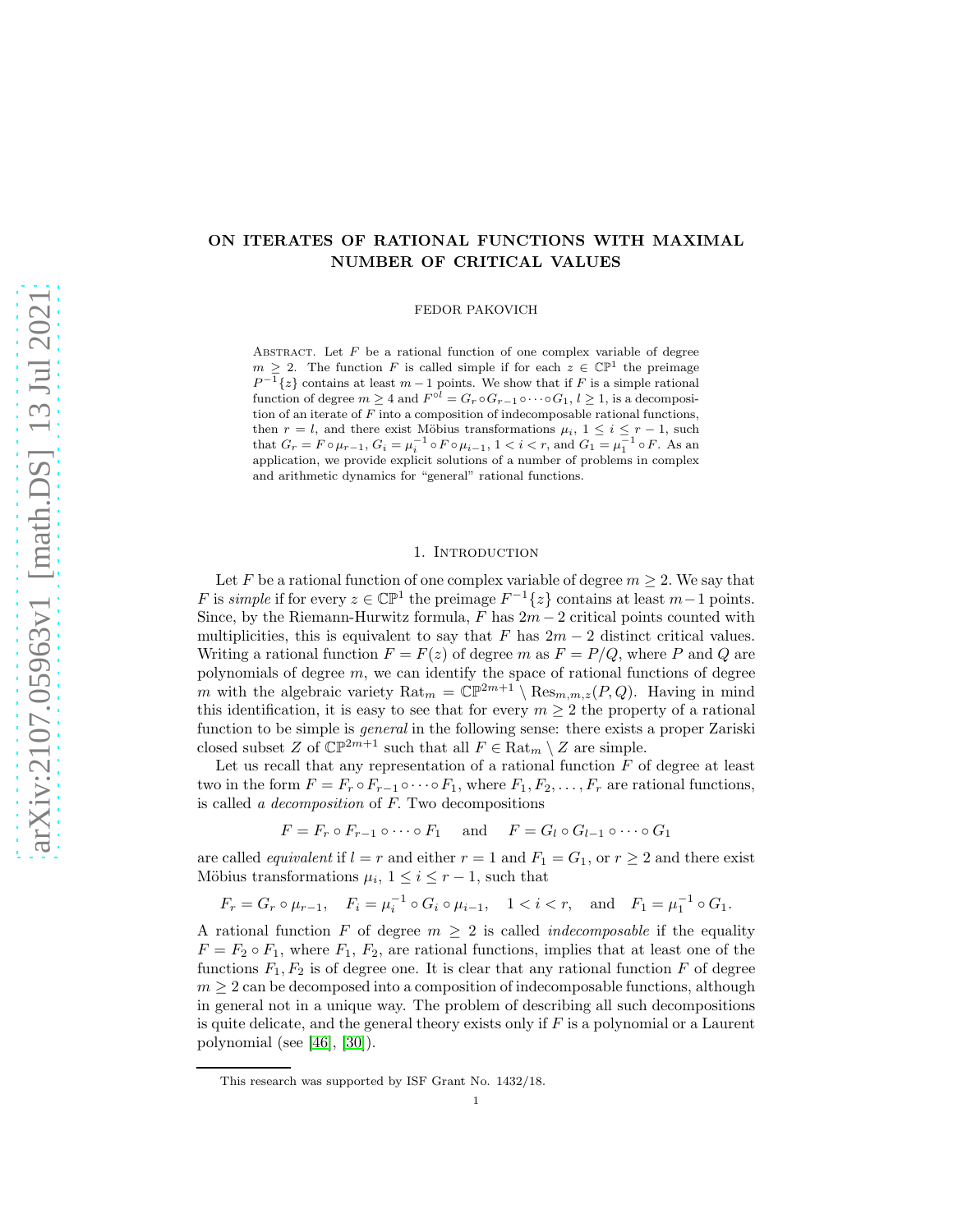# ON ITERATES OF RATIONAL FUNCTIONS WITH MAXIMAL NUMBER OF CRITICAL VALUES

FEDOR PAKOVICH

ABSTRACT. Let  $F$  be a rational function of one complex variable of degree  $m \geq 2$ . The function F is called simple if for each  $z \in \mathbb{CP}^1$  the preimage  $P^{-1}\lbrace z \rbrace$  contains at least  $m-1$  points. We show that if F is a simple rational function of degree  $m \geq 4$  and  $F^{\circ l} = G_r \circ G_{r-1} \circ \cdots \circ G_1$ ,  $l \geq 1$ , is a decomposition of an iterate of  $F$  into a composition of indecomposable rational functions, then  $r = l$ , and there exist Möbius transformations  $\mu_i$ ,  $1 \leq i \leq r-1$ , such that  $G_r = F \circ \mu_{r-1}, G_i = \mu_i^{-1} \circ F \circ \mu_{i-1}, 1 < i < r$ , and  $G_1 = \mu_1^{-1} \circ F$ . As an application, we provide explicit solutions of a number of problems in complex and arithmetic dynamics for "general" rational functions.

## 1. Introduction

Let F be a rational function of one complex variable of degree  $m \geq 2$ . We say that F is *simple* if for every  $z \in \mathbb{CP}^1$  the preimage  $F^{-1}{z}$  contains at least  $m-1$  points. Since, by the Riemann-Hurwitz formula,  $F$  has  $2m-2$  critical points counted with multiplicities, this is equivalent to say that F has  $2m - 2$  distinct critical values. Writing a rational function  $F = F(z)$  of degree m as  $F = P/Q$ , where P and Q are polynomials of degree  $m$ , we can identify the space of rational functions of degree m with the algebraic variety  $\text{Rat}_m = \mathbb{CP}^{2m+1} \setminus \text{Res}_{m,m,z}(P,Q)$ . Having in mind this identification, it is easy to see that for every  $m \geq 2$  the property of a rational function to be simple is *general* in the following sense: there exists a proper Zariski closed subset Z of  $\mathbb{CP}^{2m+1}$  such that all  $F \in \text{Rat}_m \setminus Z$  are simple.

Let us recall that any representation of a rational function  $F$  of degree at least two in the form  $F = F_r \circ F_{r-1} \circ \cdots \circ F_1$ , where  $F_1, F_2, \ldots, F_r$  are rational functions, is called *a decomposition* of F. Two decompositions

$$
F = F_r \circ F_{r-1} \circ \cdots \circ F_1 \quad \text{and} \quad F = G_l \circ G_{l-1} \circ \cdots \circ G_1
$$

are called *equivalent* if  $l = r$  and either  $r = 1$  and  $F_1 = G_1$ , or  $r \geq 2$  and there exist Möbius transformations  $\mu_i$ ,  $1 \leq i \leq r-1$ , such that

 $F_r = G_r \circ \mu_{r-1}, \quad F_i = \mu_i^{-1} \circ G_i \circ \mu_{i-1}, \quad 1 < i < r, \quad \text{and} \quad F_1 = \mu_1^{-1} \circ G_1.$ 

A rational function F of degree  $m \geq 2$  is called *indecomposable* if the equality  $F = F_2 \circ F_1$ , where  $F_1, F_2$ , are rational functions, implies that at least one of the functions  $F_1, F_2$  is of degree one. It is clear that any rational function F of degree  $m \geq 2$  can be decomposed into a composition of indecomposable functions, although in general not in a unique way. The problem of describing all such decompositions is quite delicate, and the general theory exists only if  $F$  is a polynomial or a Laurent polynomial (see [\[46\]](#page-21-0), [\[30\]](#page-21-1)).

This research was supported by ISF Grant No. 1432/18.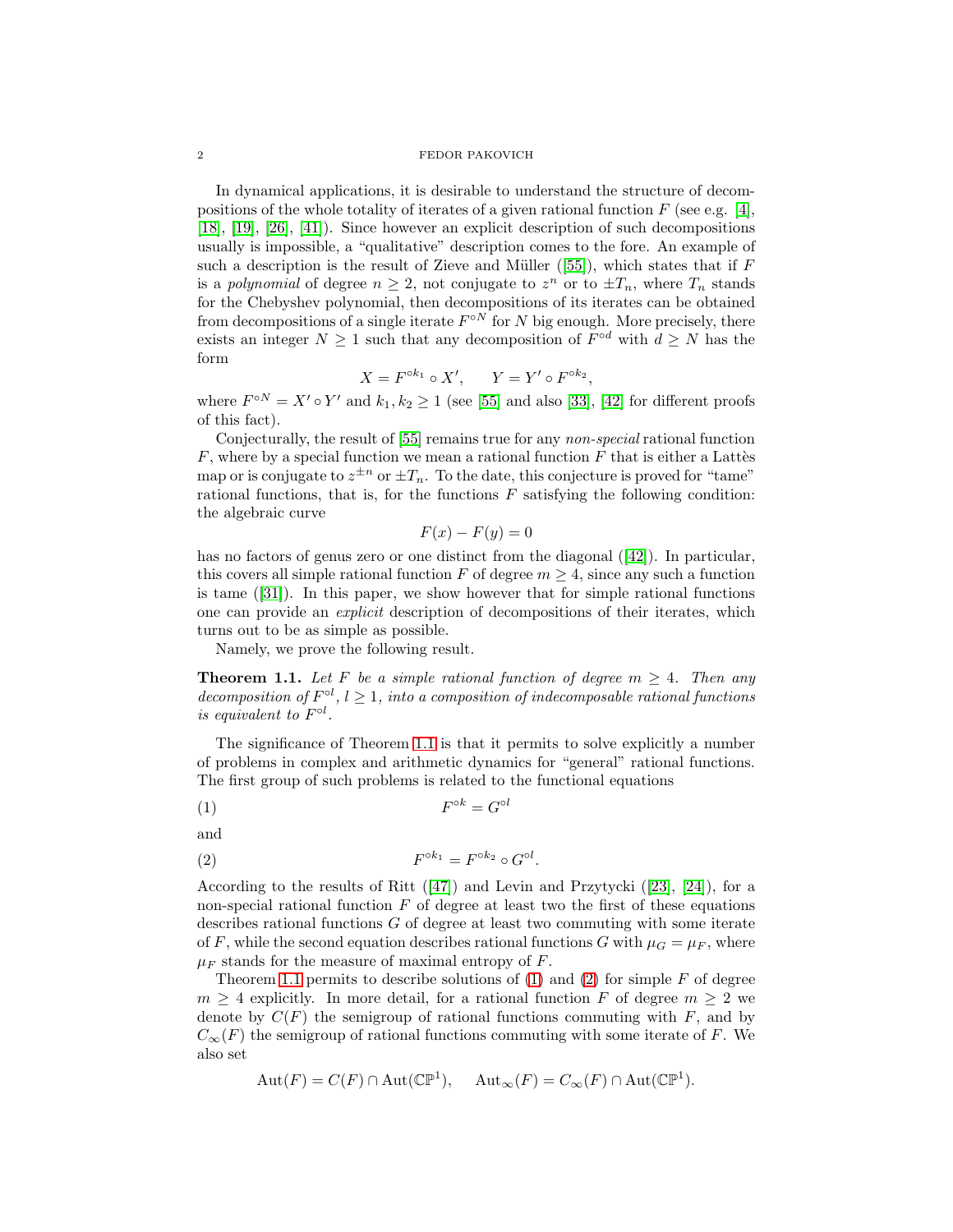In dynamical applications, it is desirable to understand the structure of decompositions of the whole totality of iterates of a given rational function  $F$  (see e.g. [\[4\]](#page-20-0), [\[18\]](#page-21-2), [\[19\]](#page-21-3), [\[26\]](#page-21-4), [\[41\]](#page-21-5)). Since however an explicit description of such decompositions usually is impossible, a "qualitative" description comes to the fore. An example of such a description is the result of Zieve and Müller  $([55])$  $([55])$  $([55])$ , which states that if F is a *polynomial* of degree  $n \geq 2$ , not conjugate to  $z^n$  or to  $\pm T_n$ , where  $T_n$  stands for the Chebyshev polynomial, then decompositions of its iterates can be obtained from decompositions of a single iterate  $F^{\circ N}$  for N big enough. More precisely, there exists an integer  $N \geq 1$  such that any decomposition of  $F^{\circ d}$  with  $d \geq N$  has the form

$$
X = F^{\circ k_1} \circ X', \qquad Y = Y' \circ F^{\circ k_2},
$$

where  $F^{\circ N} = X' \circ Y'$  and  $k_1, k_2 \ge 1$  (see [\[55\]](#page-22-0) and also [\[33\]](#page-21-6), [\[42\]](#page-21-7) for different proofs of this fact).

Conjecturally, the result of [\[55\]](#page-22-0) remains true for any *non-special* rational function  $F$ , where by a special function we mean a rational function  $F$  that is either a Lattes map or is conjugate to  $z^{\pm n}$  or  $\pm T_n$ . To the date, this conjecture is proved for "tame" rational functions, that is, for the functions  $F$  satisfying the following condition: the algebraic curve

$$
F(x) - F(y) = 0
$$

has no factors of genus zero or one distinct from the diagonal ([\[42\]](#page-21-7)). In particular, this covers all simple rational function F of degree  $m > 4$ , since any such a function is tame  $([31])$  $([31])$  $([31])$ . In this paper, we show however that for simple rational functions one can provide an *explicit* description of decompositions of their iterates, which turns out to be as simple as possible.

Namely, we prove the following result.

<span id="page-1-0"></span>**Theorem 1.1.** Let F be a simple rational function of degree  $m > 4$ . Then any *decomposition of*  $F^{\circ l}$ ,  $l \geq 1$ , into a composition of indecomposable rational functions *is equivalent to*  $F^{\circ l}$ .

The significance of Theorem [1.1](#page-1-0) is that it permits to solve explicitly a number of problems in complex and arithmetic dynamics for "general" rational functions. The first group of such problems is related to the functional equations

<span id="page-1-1"></span>
$$
(1) \tFok = Gol
$$

and

<span id="page-1-2"></span>
$$
(2) \tFok1 = Fok2 \circ Gol.
$$

According to the results of Ritt  $([47])$  $([47])$  $([47])$  and Levin and Przytycki  $([23], [24])$  $([23], [24])$  $([23], [24])$  $([23], [24])$  $([23], [24])$ , for a non-special rational function  $F$  of degree at least two the first of these equations describes rational functions G of degree at least two commuting with some iterate of F, while the second equation describes rational functions G with  $\mu_G = \mu_F$ , where  $\mu_F$  stands for the measure of maximal entropy of F.

Theorem [1.1](#page-1-0) permits to describe solutions of  $(1)$  and  $(2)$  for simple F of degree  $m \geq 4$  explicitly. In more detail, for a rational function F of degree  $m \geq 2$  we denote by  $C(F)$  the semigroup of rational functions commuting with F, and by  $C_{\infty}(F)$  the semigroup of rational functions commuting with some iterate of F. We also set

$$
Aut(F) = C(F) \cap Aut(\mathbb{CP}^1), \quad Aut_{\infty}(F) = C_{\infty}(F) \cap Aut(\mathbb{CP}^1).
$$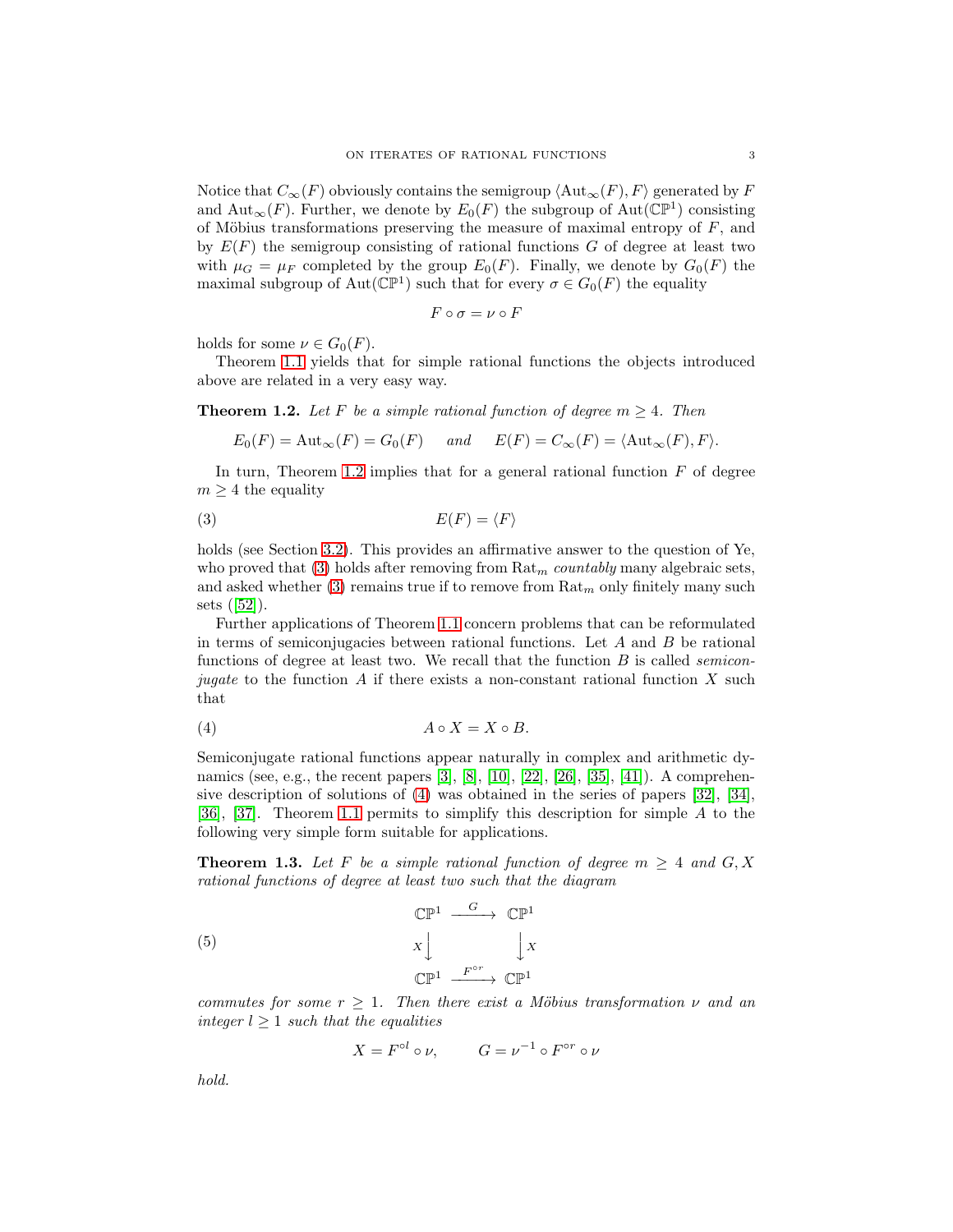Notice that  $C_{\infty}(F)$  obviously contains the semigroup  $\langle \text{Aut}_{\infty}(F), F \rangle$  generated by F and  $\text{Aut}_{\infty}(F)$ . Further, we denote by  $E_0(F)$  the subgroup of  $\text{Aut}(\mathbb{CP}^1)$  consisting of Möbius transformations preserving the measure of maximal entropy of  $F$ , and by  $E(F)$  the semigroup consisting of rational functions G of degree at least two with  $\mu_G = \mu_F$  completed by the group  $E_0(F)$ . Finally, we denote by  $G_0(F)$  the maximal subgroup of  $\text{Aut}(\mathbb{CP}^1)$  such that for every  $\sigma \in G_0(F)$  the equality

$$
F \circ \sigma = \nu \circ F
$$

holds for some  $\nu \in G_0(F)$ .

Theorem [1.1](#page-1-0) yields that for simple rational functions the objects introduced above are related in a very easy way.

<span id="page-2-0"></span>**Theorem 1.2.** Let F be a simple rational function of degree  $m \geq 4$ . Then

$$
E_0(F) = \text{Aut}_{\infty}(F) = G_0(F)
$$
 and  $E(F) = C_{\infty}(F) = \langle \text{Aut}_{\infty}(F), F \rangle$ .

In turn, Theorem [1.2](#page-2-0) implies that for a general rational function  $F$  of degree  $m \geq 4$  the equality

<span id="page-2-1"></span>
$$
(3) \tE(F) = \langle F \rangle
$$

holds (see Section [3.2\)](#page-14-0). This provides an affirmative answer to the question of Ye, who proved that  $(3)$  holds after removing from  $\text{Rat}_{m}$  *countably* many algebraic sets, and asked whether [\(3\)](#page-2-1) remains true if to remove from  $\text{Rat}_{m}$  only finitely many such sets ([\[52\]](#page-22-1)).

Further applications of Theorem [1.1](#page-1-0) concern problems that can be reformulated in terms of semiconjugacies between rational functions. Let  $A$  and  $B$  be rational functions of degree at least two. We recall that the function B is called *semiconjugate* to the function A if there exists a non-constant rational function X such that

<span id="page-2-2"></span>
$$
(4) \t\t A \circ X = X \circ B.
$$

Semiconjugate rational functions appear naturally in complex and arithmetic dy-namics (see, e.g., the recent papers [\[3\]](#page-20-1), [\[8\]](#page-20-2), [\[10\]](#page-20-3), [\[22\]](#page-21-12), [\[26\]](#page-21-4), [\[35\]](#page-21-13), [\[41\]](#page-21-5)). A comprehensive description of solutions of [\(4\)](#page-2-2) was obtained in the series of papers [\[32\]](#page-21-14), [\[34\]](#page-21-15), [\[36\]](#page-21-16), [\[37\]](#page-21-17). Theorem [1.1](#page-1-0) permits to simplify this description for simple A to the following very simple form suitable for applications.

<span id="page-2-3"></span>**Theorem 1.3.** Let F be a simple rational function of degree  $m \geq 4$  and  $G, X$ *rational functions of degree at least two such that the diagram*

<span id="page-2-4"></span>(5) 
$$
\mathbb{CP}^1 \xrightarrow{\qquad G} \mathbb{CP}^1
$$

$$
X \downarrow \qquad \qquad \downarrow X
$$

$$
\mathbb{CP}^1 \xrightarrow{\qquad F^{\circ r}} \mathbb{CP}^1
$$

*commutes for some*  $r \geq 1$ *. Then there exist a Möbius transformation*  $\nu$  *and an integer*  $l \geq 1$  *such that the equalities* 

$$
X = F^{\circ l} \circ \nu, \qquad G = \nu^{-1} \circ F^{\circ r} \circ \nu
$$

*hold.*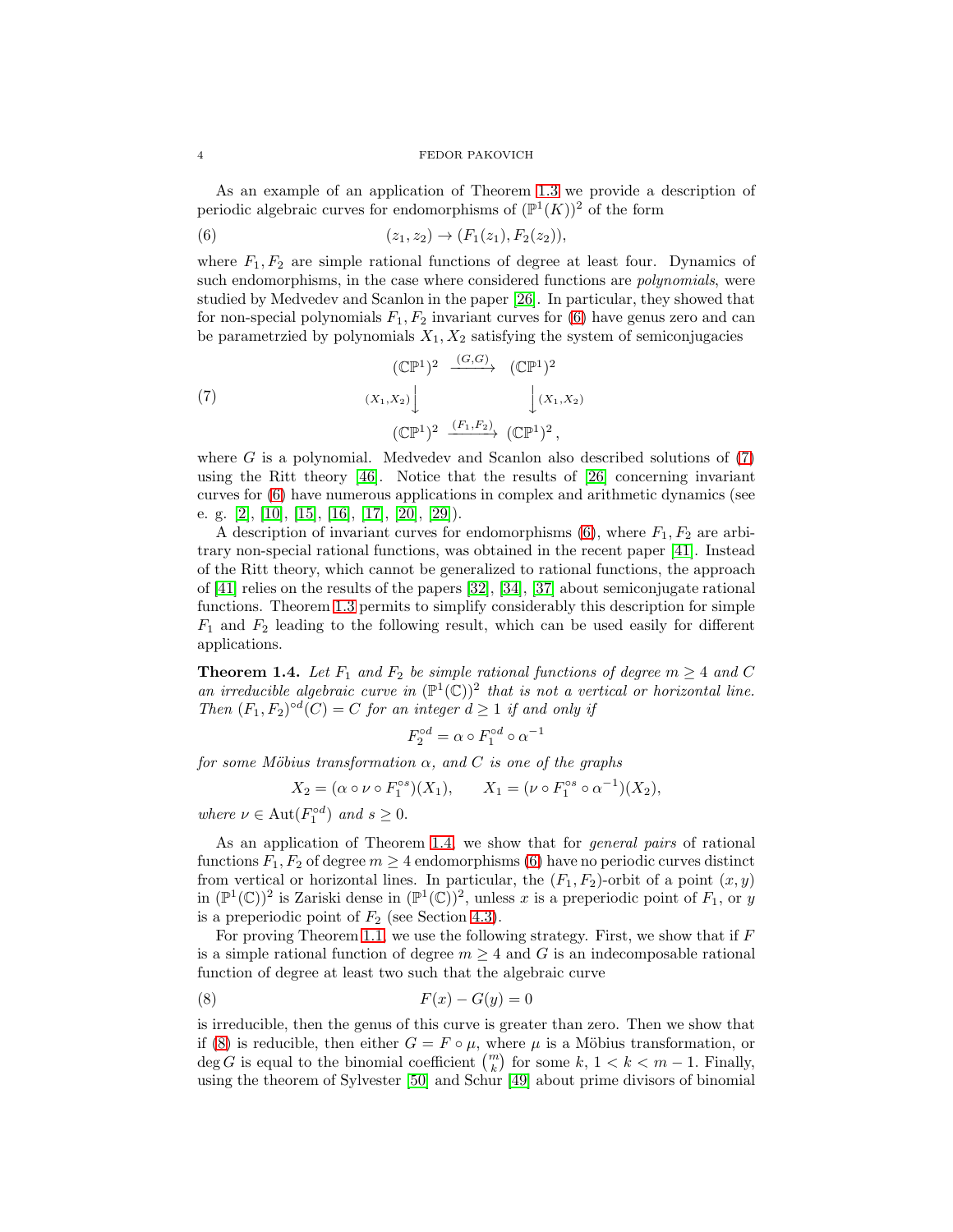As an example of an application of Theorem [1.3](#page-2-3) we provide a description of periodic algebraic curves for endomorphisms of  $(\mathbb{P}^1(K))^2$  of the form

<span id="page-3-0"></span>(6) 
$$
(z_1, z_2) \rightarrow (F_1(z_1), F_2(z_2)),
$$

where  $F_1, F_2$  are simple rational functions of degree at least four. Dynamics of such endomorphisms, in the case where considered functions are *polynomials*, were studied by Medvedev and Scanlon in the paper [\[26\]](#page-21-4). In particular, they showed that for non-special polynomials  $F_1, F_2$  invariant curves for [\(6\)](#page-3-0) have genus zero and can be parametrzied by polynomials  $X_1, X_2$  satisfying the system of semiconjugacies

<span id="page-3-1"></span>(7) 
$$
(\mathbb{CP}^1)^2 \xrightarrow{(G,G)} (\mathbb{CP}^1)^2
$$
  
\n $(X_1, X_2)$   $\Big\downarrow (X_1, X_2)$   
\n $(\mathbb{CP}^1)^2 \xrightarrow{(F_1, F_2)} (\mathbb{CP}^1)^2$ ,

where  $G$  is a polynomial. Medvedev and Scanlon also described solutions of  $(7)$ using the Ritt theory [\[46\]](#page-21-0). Notice that the results of [\[26\]](#page-21-4) concerning invariant curves for [\(6\)](#page-3-0) have numerous applications in complex and arithmetic dynamics (see e. g. [\[2\]](#page-20-4), [\[10\]](#page-20-3), [\[15\]](#page-20-5), [\[16\]](#page-20-6), [\[17\]](#page-21-18), [\[20\]](#page-21-19), [\[29\]](#page-21-20)).

A description of invariant curves for endomorphisms  $(6)$ , where  $F_1, F_2$  are arbitrary non-special rational functions, was obtained in the recent paper [\[41\]](#page-21-5). Instead of the Ritt theory, which cannot be generalized to rational functions, the approach of [\[41\]](#page-21-5) relies on the results of the papers [\[32\]](#page-21-14), [\[34\]](#page-21-15), [\[37\]](#page-21-17) about semiconjugate rational functions. Theorem [1.3](#page-2-3) permits to simplify considerably this description for simple  $F_1$  and  $F_2$  leading to the following result, which can be used easily for different applications.

<span id="page-3-2"></span>**Theorem 1.4.** Let  $F_1$  and  $F_2$  be simple rational functions of degree  $m \geq 4$  and C an irreducible algebraic curve in  $(\mathbb{P}^1(\mathbb{C}))^2$  that is not a vertical or horizontal line. *Then*  $(F_1, F_2)^{\circ d}(C) = C$  *for an integer*  $d \geq 1$  *if and only if* 

$$
F_2^{\circ d} = \alpha \circ F_1^{\circ d} \circ \alpha^{-1}
$$

*for some Möbius transformation*  $\alpha$ *, and*  $C$  *is one of the graphs* 

$$
X_2 = (\alpha \circ \nu \circ F_1^{\circ s})(X_1), \qquad X_1 = (\nu \circ F_1^{\circ s} \circ \alpha^{-1})(X_2),
$$

*where*  $\nu \in \text{Aut}(F_1^{\circ d})$  *and*  $s \geq 0$ .

As an application of Theorem [1.4,](#page-3-2) we show that for *general pairs* of rational functions  $F_1, F_2$  of degree  $m \geq 4$  endomorphisms [\(6\)](#page-3-0) have no periodic curves distinct from vertical or horizontal lines. In particular, the  $(F_1, F_2)$ -orbit of a point  $(x, y)$ in  $(\mathbb{P}^1(\mathbb{C}))^2$  is Zariski dense in  $(\mathbb{P}^1(\mathbb{C}))^2$ , unless x is a preperiodic point of  $F_1$ , or y is a preperiodic point of  $F_2$  (see Section [4.3\)](#page-19-0).

For proving Theorem [1.1,](#page-1-0) we use the following strategy. First, we show that if  $F$ is a simple rational function of degree  $m \geq 4$  and G is an indecomposable rational function of degree at least two such that the algebraic curve

<span id="page-3-3"></span>
$$
(8) \t\t\t F(x) - G(y) = 0
$$

is irreducible, then the genus of this curve is greater than zero. Then we show that if [\(8\)](#page-3-3) is reducible, then either  $G = F \circ \mu$ , where  $\mu$  is a Möbius transformation, or  $\deg G$  is equal to the binomial coefficient  $\binom{m}{k}$  for some k,  $1 < k < m - 1$ . Finally, using the theorem of Sylvester [\[50\]](#page-21-21) and Schur [\[49\]](#page-21-22) about prime divisors of binomial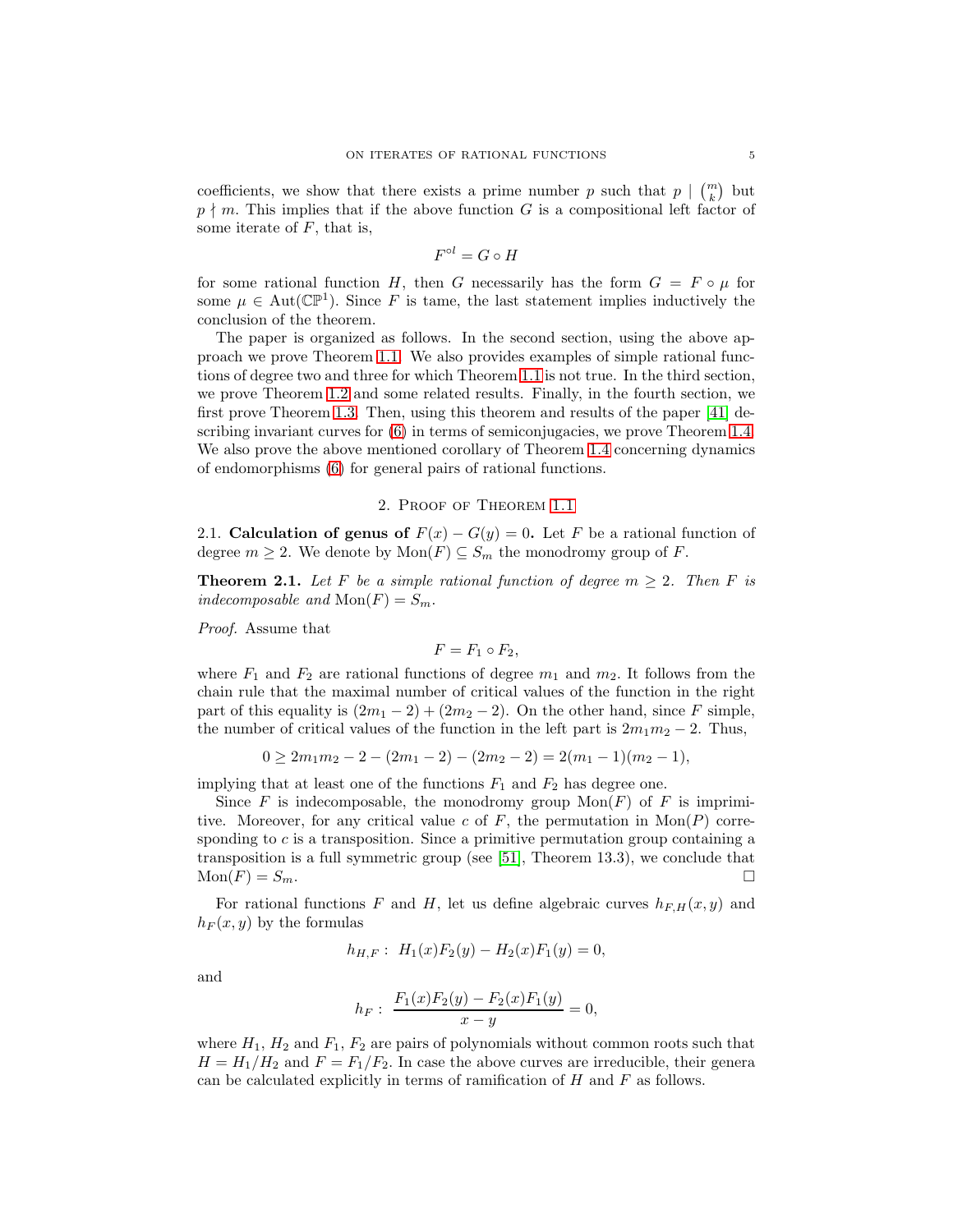coefficients, we show that there exists a prime number p such that  $p \mid \binom{m}{k}$  but  $p \nmid m$ . This implies that if the above function G is a compositional left factor of some iterate of  $F$ , that is,

$$
F^{\circ l} = G \circ H
$$

for some rational function H, then G necessarily has the form  $G = F \circ \mu$  for some  $\mu \in Aut(\mathbb{CP}^1)$ . Since F is tame, the last statement implies inductively the conclusion of the theorem.

The paper is organized as follows. In the second section, using the above approach we prove Theorem [1.1.](#page-1-0) We also provides examples of simple rational functions of degree two and three for which Theorem [1.1](#page-1-0) is not true. In the third section, we prove Theorem [1.2](#page-2-0) and some related results. Finally, in the fourth section, we first prove Theorem [1.3.](#page-2-3) Then, using this theorem and results of the paper [\[41\]](#page-21-5) describing invariant curves for [\(6\)](#page-3-0) in terms of semiconjugacies, we prove Theorem [1.4.](#page-3-2) We also prove the above mentioned corollary of Theorem [1.4](#page-3-2) concerning dynamics of endomorphisms [\(6\)](#page-3-0) for general pairs of rational functions.

# 2. Proof of Theorem [1.1](#page-1-0)

2.1. Calculation of genus of  $F(x) - G(y) = 0$ . Let F be a rational function of degree  $m \geq 2$ . We denote by  $Mon(F) \subseteq S_m$  the monodromy group of F.

<span id="page-4-0"></span>**Theorem 2.1.** Let F be a simple rational function of degree  $m \geq 2$ . Then F is *indecomposable and*  $Mon(F) = S_m$ .

*Proof.* Assume that

$$
F=F_1\circ F_2,
$$

where  $F_1$  and  $F_2$  are rational functions of degree  $m_1$  and  $m_2$ . It follows from the chain rule that the maximal number of critical values of the function in the right part of this equality is  $(2m_1 - 2) + (2m_2 - 2)$ . On the other hand, since F simple, the number of critical values of the function in the left part is  $2m_1m_2 - 2$ . Thus,

$$
0 \ge 2m_1m_2 - 2 - (2m_1 - 2) - (2m_2 - 2) = 2(m_1 - 1)(m_2 - 1),
$$

implying that at least one of the functions  $F_1$  and  $F_2$  has degree one.

Since F is indecomposable, the monodromy group  $Mon(F)$  of F is imprimitive. Moreover, for any critical value c of  $F$ , the permutation in  $Mon(P)$  corresponding to c is a transposition. Since a primitive permutation group containing a transposition is a full symmetric group (see [\[51\]](#page-21-23), Theorem 13.3), we conclude that  $\text{Mon}(F) = S_m.$ 

For rational functions F and H, let us define algebraic curves  $h_{F,H}(x, y)$  and  $h_F(x, y)$  by the formulas

$$
h_{H,F}: H_1(x)F_2(y) - H_2(x)F_1(y) = 0,
$$

and

$$
h_F: \frac{F_1(x)F_2(y) - F_2(x)F_1(y)}{x - y} = 0,
$$

where  $H_1$ ,  $H_2$  and  $F_1$ ,  $F_2$  are pairs of polynomials without common roots such that  $H = H_1/H_2$  and  $F = F_1/F_2$ . In case the above curves are irreducible, their general can be calculated explicitly in terms of ramification of  $H$  and  $F$  as follows.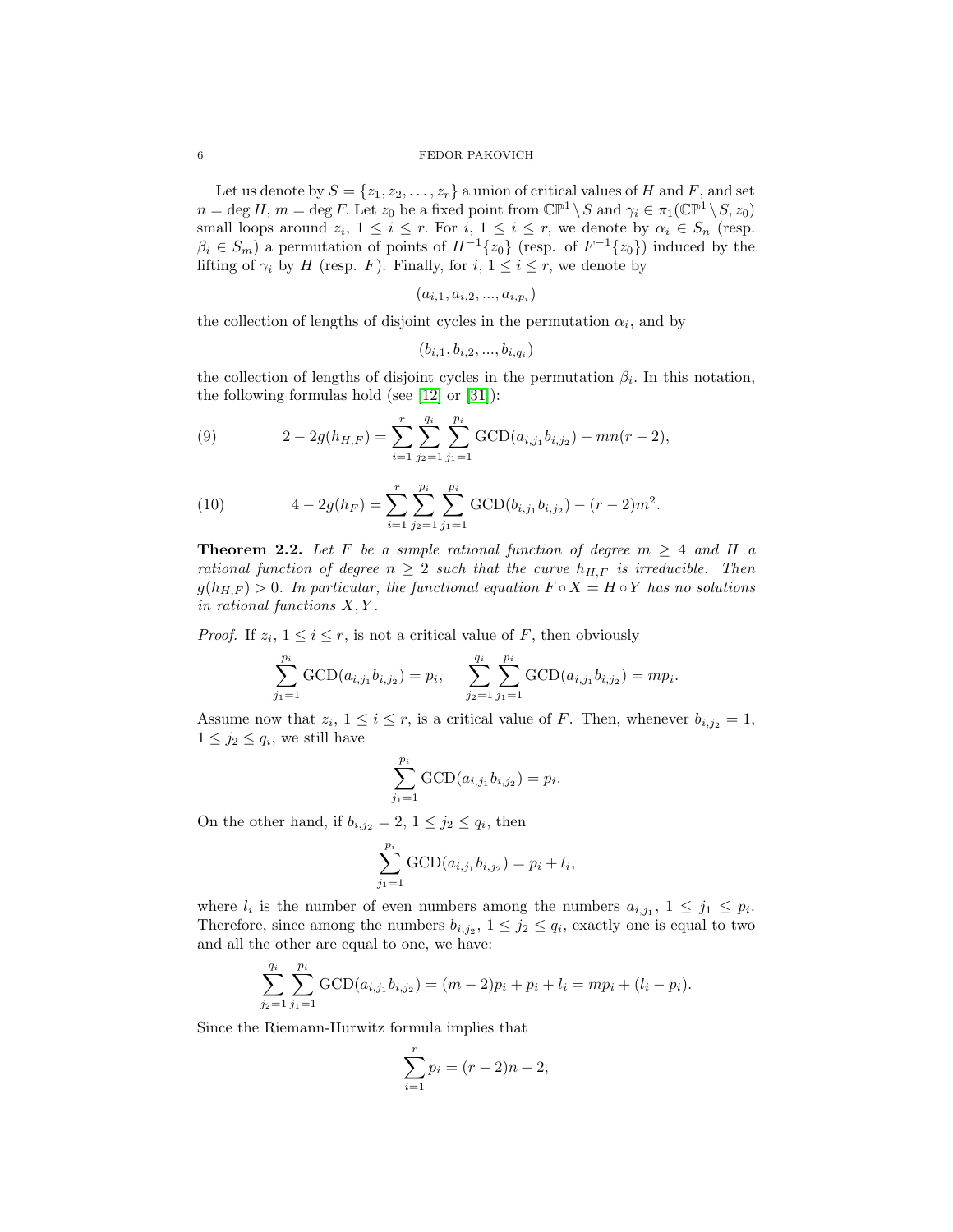Let us denote by  $S = \{z_1, z_2, \ldots, z_r\}$  a union of critical values of H and F, and set  $n = \deg H$ ,  $m = \deg F$ . Let  $z_0$  be a fixed point from  $\mathbb{CP}^1 \setminus S$  and  $\gamma_i \in \pi_1(\mathbb{CP}^1 \setminus S, z_0)$ small loops around  $z_i$ ,  $1 \leq i \leq r$ . For  $i, 1 \leq i \leq r$ , we denote by  $\alpha_i \in S_n$  (resp.  $\beta_i \in S_m$ ) a permutation of points of  $H^{-1}\lbrace z_0 \rbrace$  (resp. of  $F^{-1}\lbrace z_0 \rbrace$ ) induced by the lifting of  $\gamma_i$  by H (resp. F). Finally, for  $i, 1 \leq i \leq r$ , we denote by

$$
(a_{i,1},a_{i,2},...,a_{i,p_i})
$$

the collection of lengths of disjoint cycles in the permutation  $\alpha_i$ , and by

$$
(b_{i,1}, b_{i,2},...,b_{i,q_i})
$$

the collection of lengths of disjoint cycles in the permutation  $\beta_i$ . In this notation, the following formulas hold (see [\[12\]](#page-20-7) or [\[31\]](#page-21-8)):

<span id="page-5-0"></span>(9) 
$$
2 - 2g(h_{H,F}) = \sum_{i=1}^{r} \sum_{j_2=1}^{q_i} \sum_{j_1=1}^{p_i} \text{GCD}(a_{i,j_1}b_{i,j_2}) - mn(r-2),
$$

<span id="page-5-1"></span>(10) 
$$
4 - 2g(h_F) = \sum_{i=1}^r \sum_{j_2=1}^{p_i} \sum_{j_1=1}^{p_i} \text{GCD}(b_{i,j_1}b_{i,j_2}) - (r-2)m^2.
$$

<span id="page-5-2"></span>**Theorem 2.2.** Let F be a simple rational function of degree  $m \geq 4$  and H a *rational function of degree*  $n \geq 2$  *such that the curve*  $h_{H,F}$  *is irreducible. Then*  $g(h_{H,F}) > 0$ *. In particular, the functional equation*  $F \circ X = H \circ Y$  *has no solutions in rational functions* X, Y *.*

*Proof.* If  $z_i$ ,  $1 \le i \le r$ , is not a critical value of F, then obviously

$$
\sum_{j_1=1}^{p_i} \text{GCD}(a_{i,j_1}b_{i,j_2}) = p_i, \quad \sum_{j_2=1}^{q_i} \sum_{j_1=1}^{p_i} \text{GCD}(a_{i,j_1}b_{i,j_2}) = mp_i.
$$

Assume now that  $z_i$ ,  $1 \le i \le r$ , is a critical value of F. Then, whenever  $b_{i,j_2} = 1$ ,  $1 \leq j_2 \leq q_i$ , we still have

$$
\sum_{j_1=1}^{p_i} \text{GCD}(a_{i,j_1}b_{i,j_2}) = p_i.
$$

On the other hand, if  $b_{i,j_2} = 2$ ,  $1 \leq j_2 \leq q_i$ , then

$$
\sum_{j_1=1}^{p_i} \text{GCD}(a_{i,j_1}b_{i,j_2}) = p_i + l_i,
$$

where  $l_i$  is the number of even numbers among the numbers  $a_{i,j_1}$ ,  $1 \leq j_1 \leq p_i$ . Therefore, since among the numbers  $b_{i,j_2}$ ,  $1 \leq j_2 \leq q_i$ , exactly one is equal to two and all the other are equal to one, we have:

$$
\sum_{j_2=1}^{q_i} \sum_{j_1=1}^{p_i} \text{GCD}(a_{i,j_1}b_{i,j_2}) = (m-2)p_i + p_i + l_i = mp_i + (l_i - p_i).
$$

Since the Riemann-Hurwitz formula implies that

$$
\sum_{i=1}^{r} p_i = (r-2)n + 2,
$$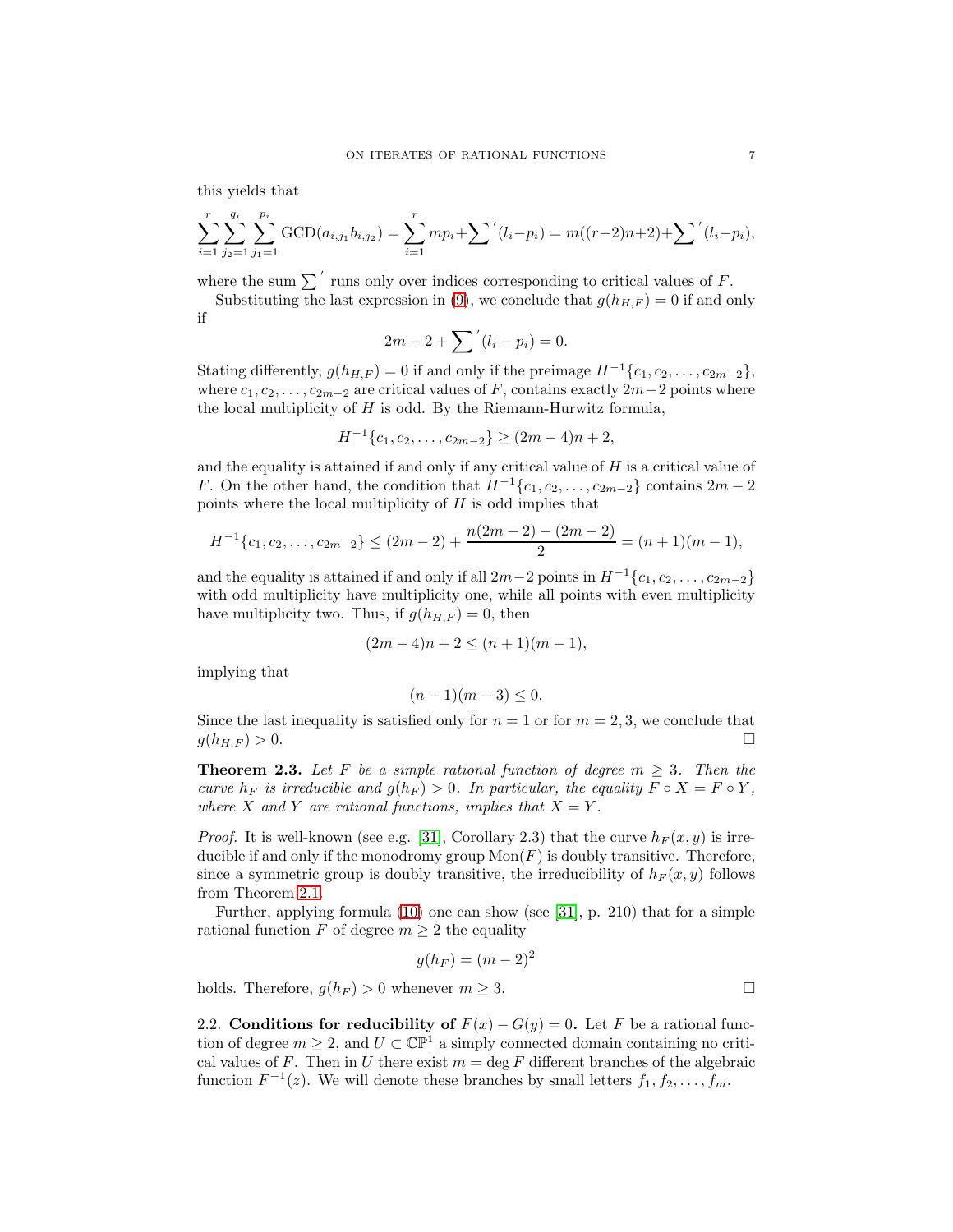this yields that

$$
\sum_{i=1}^{r} \sum_{j_2=1}^{q_i} \sum_{j_1=1}^{p_i} \text{GCD}(a_{i,j_1}b_{i,j_2}) = \sum_{i=1}^{r} mp_i + \sum' (l_i - p_i) = m((r-2)n + 2) + \sum' (l_i - p_i),
$$

where the sum  $\sum'$  runs only over indices corresponding to critical values of F.

Substituting the last expression in [\(9\)](#page-5-0), we conclude that  $g(h_{H,F}) = 0$  if and only if

$$
2m - 2 + \sum' (l_i - p_i) = 0.
$$

Stating differently,  $g(h_{H,F}) = 0$  if and only if the preimage  $H^{-1}\lbrace c_1, c_2, \ldots, c_{2m-2}\rbrace$ , where  $c_1, c_2, \ldots, c_{2m-2}$  are critical values of F, contains exactly  $2m-2$  points where the local multiplicity of  $H$  is odd. By the Riemann-Hurwitz formula,

$$
H^{-1}\{c_1, c_2, \dots, c_{2m-2}\} \ge (2m-4)n + 2,
$$

and the equality is attained if and only if any critical value of  $H$  is a critical value of F. On the other hand, the condition that  $H^{-1}\lbrace c_1, c_2, \ldots, c_{2m-2} \rbrace$  contains  $2m-2$ points where the local multiplicity of  $H$  is odd implies that

$$
H^{-1}\lbrace c_1, c_2, \ldots, c_{2m-2} \rbrace \leq (2m-2) + \frac{n(2m-2) - (2m-2)}{2} = (n+1)(m-1),
$$

and the equality is attained if and only if all  $2m-2$  points in  $H^{-1}\lbrace c_1, c_2, \ldots, c_{2m-2}\rbrace$ with odd multiplicity have multiplicity one, while all points with even multiplicity have multiplicity two. Thus, if  $g(h_{H,F}) = 0$ , then

$$
(2m-4)n + 2 \le (n+1)(m-1),
$$

implying that

$$
(n-1)(m-3) \leq 0.
$$

Since the last inequality is satisfied only for  $n = 1$  or for  $m = 2, 3$ , we conclude that  $g(h_{H,F}) > 0.$ 

<span id="page-6-0"></span>**Theorem 2.3.** Let F be a simple rational function of degree  $m \geq 3$ . Then the *curve*  $h_F$  *is irreducible and*  $g(h_F) > 0$ *. In particular, the equality*  $F \circ X = F \circ Y$ *, where* X and Y are rational functions, implies that  $X = Y$ .

*Proof.* It is well-known (see e.g. [\[31\]](#page-21-8), Corollary 2.3) that the curve  $h_F(x, y)$  is irreducible if and only if the monodromy group  $Mon(F)$  is doubly transitive. Therefore, since a symmetric group is doubly transitive, the irreducibility of  $h_F(x, y)$  follows from Theorem [2.1.](#page-4-0)

Further, applying formula [\(10\)](#page-5-1) one can show (see [\[31\]](#page-21-8), p. 210) that for a simple rational function F of degree  $m \geq 2$  the equality

$$
g(h_F) = (m-2)^2
$$

holds. Therefore,  $g(h_F) > 0$  whenever  $m \geq 3$ .

2.2. Conditions for reducibility of  $F(x) - G(y) = 0$ . Let F be a rational function of degree  $m \geq 2$ , and  $U \subset \mathbb{CP}^1$  a simply connected domain containing no critical values of F. Then in U there exist  $m = \deg F$  different branches of the algebraic function  $F^{-1}(z)$ . We will denote these branches by small letters  $f_1, f_2, \ldots, f_m$ .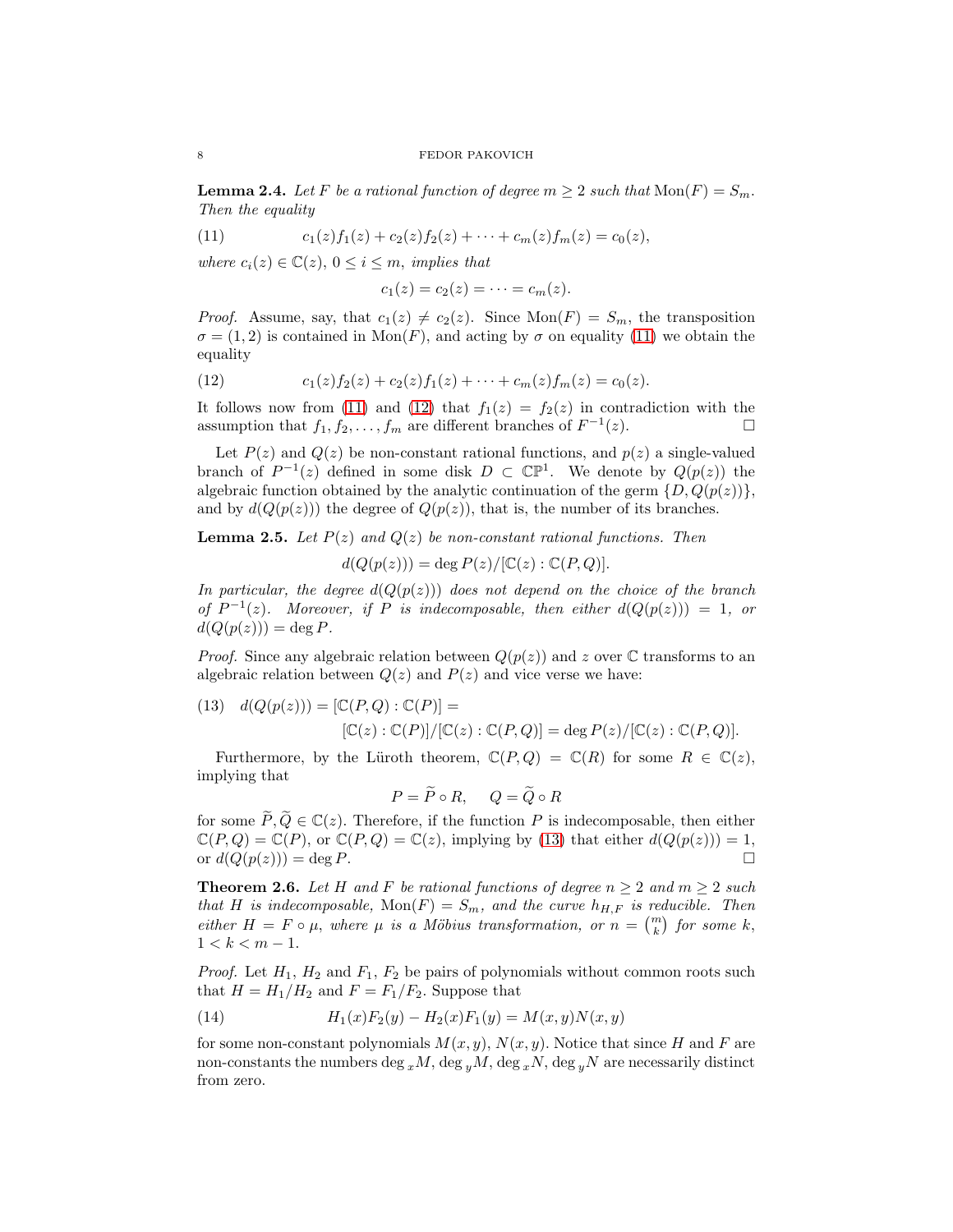<span id="page-7-4"></span>**Lemma 2.4.** Let F be a rational function of degree  $m \geq 2$  such that  $\text{Mon}(F) = S_m$ . *Then the equality*

<span id="page-7-0"></span>(11) 
$$
c_1(z)f_1(z) + c_2(z)f_2(z) + \cdots + c_m(z)f_m(z) = c_0(z),
$$

*where*  $c_i(z) \in \mathbb{C}(z)$ ,  $0 \leq i \leq m$ , *implies that* 

$$
c_1(z)=c_2(z)=\cdots=c_m(z).
$$

*Proof.* Assume, say, that  $c_1(z) \neq c_2(z)$ . Since  $Mon(F) = S_m$ , the transposition  $\sigma = (1, 2)$  is contained in  $\text{Mon}(F)$ , and acting by  $\sigma$  on equality [\(11\)](#page-7-0) we obtain the equality

<span id="page-7-1"></span>(12) 
$$
c_1(z)f_2(z) + c_2(z)f_1(z) + \cdots + c_m(z)f_m(z) = c_0(z).
$$

It follows now from [\(11\)](#page-7-0) and [\(12\)](#page-7-1) that  $f_1(z) = f_2(z)$  in contradiction with the assumption that  $f_1, f_2, \ldots, f_m$  are different branches of  $F^{-1}(z)$ .

Let  $P(z)$  and  $Q(z)$  be non-constant rational functions, and  $p(z)$  a single-valued branch of  $P^{-1}(z)$  defined in some disk  $D \subset \mathbb{CP}^1$ . We denote by  $Q(p(z))$  the algebraic function obtained by the analytic continuation of the germ  $\{D, Q(p(z))\},\$ and by  $d(Q(p(z)))$  the degree of  $Q(p(z))$ , that is, the number of its branches.

<span id="page-7-5"></span>**Lemma 2.5.** Let  $P(z)$  and  $Q(z)$  be non-constant rational functions. Then

$$
d(Q(p(z))) = \deg P(z) / [\mathbb{C}(z) : \mathbb{C}(P,Q)].
$$

*In particular, the degree*  $d(Q(p(z)))$  *does not depend on the choice of the branch of*  $P^{-1}(z)$ *. Moreover, if* P *is indecomposable, then either*  $d(Q(p(z))) = 1$ *, or*  $d(Q(p(z))) = \deg P$ .

*Proof.* Since any algebraic relation between  $Q(p(z))$  and z over C transforms to an algebraic relation between  $Q(z)$  and  $P(z)$  and vice verse we have:

<span id="page-7-2"></span>(13) 
$$
d(Q(p(z))) = [\mathbb{C}(P,Q) : \mathbb{C}(P)] = [\mathbb{C}(z) : \mathbb{C}(P)] / [\mathbb{C}(z) : \mathbb{C}(P,Q)] = \deg P(z) / [\mathbb{C}(z) : \mathbb{C}(P,Q)].
$$

Furthermore, by the Lüroth theorem,  $\mathbb{C}(P,Q) = \mathbb{C}(R)$  for some  $R \in \mathbb{C}(z)$ , implying that

$$
P = \widetilde{P} \circ R, \quad Q = \widetilde{Q} \circ R
$$

for some  $\widetilde{P}, \widetilde{Q} \in \mathbb{C}(z)$ . Therefore, if the function P is indecomposable, then either  $\mathbb{C}(P,Q) = \mathbb{C}(P)$ , or  $\mathbb{C}(P,Q) = \mathbb{C}(z)$ , implying by [\(13\)](#page-7-2) that either  $d(Q(p(z))) = 1$ , or  $d(Q(p(z))) = \deg P$ .

<span id="page-7-6"></span>**Theorem 2.6.** Let H and F be rational functions of degree  $n \geq 2$  and  $m \geq 2$  such *that* H *is indecomposable,*  $Mon(F) = S_m$ *, and the curve*  $h_{H,F}$  *is reducible. Then either*  $H = F \circ \mu$ , *where*  $\mu$  *is a Möbius transformation, or*  $n = \binom{m}{k}$  *for some* k,  $1 < k < m - 1$ .

*Proof.* Let  $H_1$ ,  $H_2$  and  $F_1$ ,  $F_2$  be pairs of polynomials without common roots such that  $H = H_1/H_2$  and  $F = F_1/F_2$ . Suppose that

<span id="page-7-3"></span>(14) 
$$
H_1(x)F_2(y) - H_2(x)F_1(y) = M(x, y)N(x, y)
$$

for some non-constant polynomials  $M(x, y)$ ,  $N(x, y)$ . Notice that since H and F are non-constants the numbers deg  $_{x}M$ , deg  $_{y}M$ , deg  $_{x}N$ , deg  $_{y}N$  are necessarily distinct from zero.

$$
8 \\
$$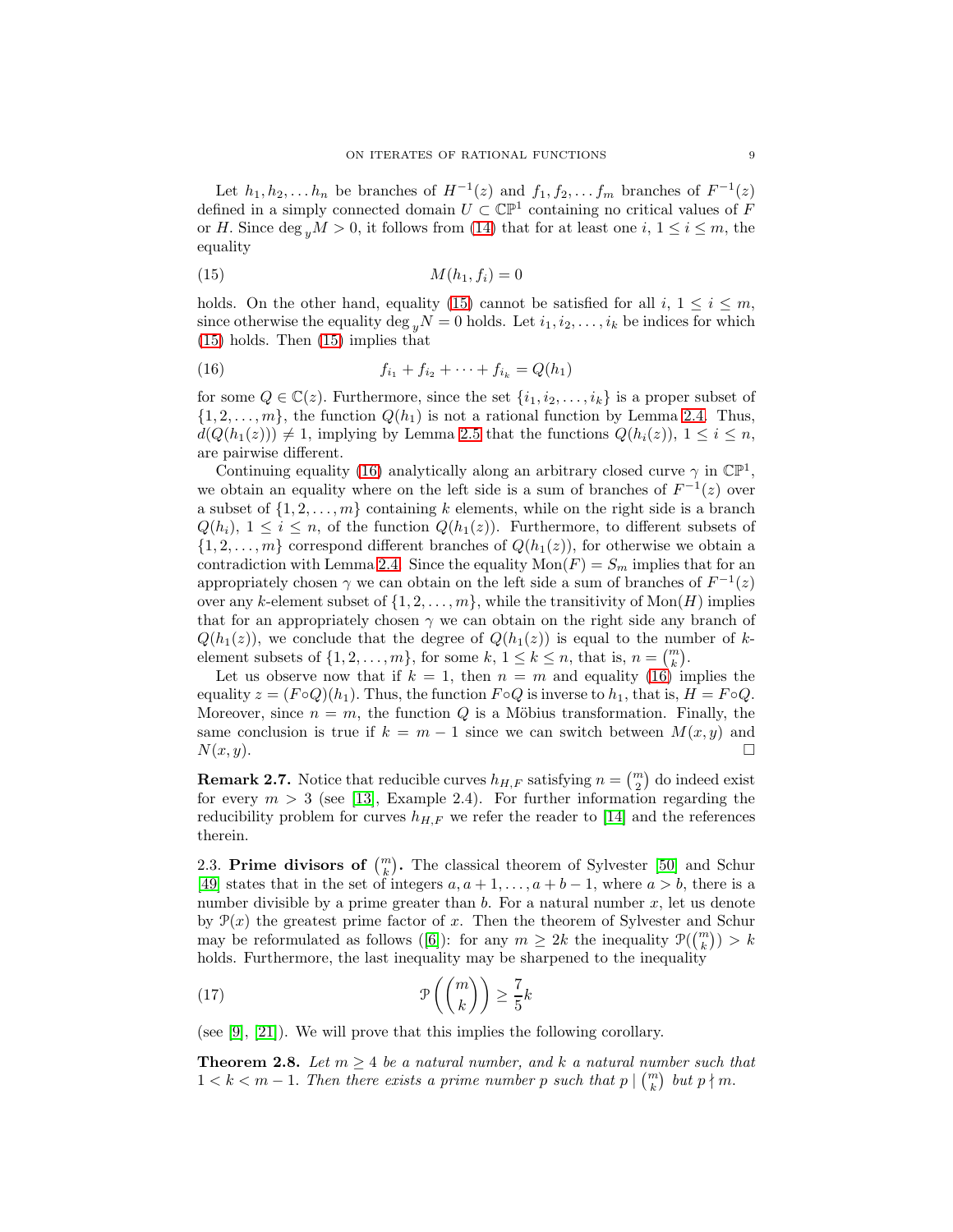Let  $h_1, h_2, \ldots h_n$  be branches of  $H^{-1}(z)$  and  $f_1, f_2, \ldots f_m$  branches of  $F^{-1}(z)$ defined in a simply connected domain  $U \subset \mathbb{CP}^1$  containing no critical values of F or H. Since deg  $_{y}M > 0$ , it follows from [\(14\)](#page-7-3) that for at least one i,  $1 \leq i \leq m$ , the equality

<span id="page-8-0"></span>
$$
(15) \t\t\t M(h1, fi) = 0
$$

holds. On the other hand, equality [\(15\)](#page-8-0) cannot be satisfied for all  $i, 1 \leq i \leq m$ , since otherwise the equality deg  $_{y}N = 0$  holds. Let  $i_1, i_2, \ldots, i_k$  be indices for which [\(15\)](#page-8-0) holds. Then [\(15\)](#page-8-0) implies that

<span id="page-8-1"></span>(16) 
$$
f_{i_1} + f_{i_2} + \cdots + f_{i_k} = Q(h_1)
$$

for some  $Q \in \mathbb{C}(z)$ . Furthermore, since the set  $\{i_1, i_2, \ldots, i_k\}$  is a proper subset of  $\{1, 2, \ldots, m\}$ , the function  $Q(h_1)$  is not a rational function by Lemma [2.4.](#page-7-4) Thus,  $d(Q(h_1(z))) \neq 1$ , implying by Lemma [2.5](#page-7-5) that the functions  $Q(h_i(z))$ ,  $1 \leq i \leq n$ , are pairwise different.

Continuing equality [\(16\)](#page-8-1) analytically along an arbitrary closed curve  $\gamma$  in  $\mathbb{CP}^1$ , we obtain an equality where on the left side is a sum of branches of  $F^{-1}(z)$  over a subset of  $\{1, 2, \ldots, m\}$  containing k elements, while on the right side is a branch  $Q(h_i)$ ,  $1 \leq i \leq n$ , of the function  $Q(h_1(z))$ . Furthermore, to different subsets of  $\{1, 2, \ldots, m\}$  correspond different branches of  $Q(h_1(z))$ , for otherwise we obtain a contradiction with Lemma [2.4.](#page-7-4) Since the equality  $Mon(F) = S_m$  implies that for an appropriately chosen  $\gamma$  we can obtain on the left side a sum of branches of  $F^{-1}(z)$ over any k-element subset of  $\{1, 2, \ldots, m\}$ , while the transitivity of Mon $(H)$  implies that for an appropriately chosen  $\gamma$  we can obtain on the right side any branch of  $Q(h_1(z))$ , we conclude that the degree of  $Q(h_1(z))$  is equal to the number of kelement subsets of  $\{1, 2, ..., m\}$ , for some k,  $1 \le k \le n$ , that is,  $n = {m \choose k}$ .

Let us observe now that if  $k = 1$ , then  $n = m$  and equality [\(16\)](#page-8-1) implies the equality  $z = (F \circ Q)(h_1)$ . Thus, the function  $F \circ Q$  is inverse to  $h_1$ , that is,  $H = F \circ Q$ . Moreover, since  $n = m$ , the function Q is a Möbius transformation. Finally, the same conclusion is true if  $k = m - 1$  since we can switch between  $M(x, y)$  and  $N(x, y)$ .  $N(x, y).$ 

**Remark 2.7.** Notice that reducible curves  $h_{H,F}$  satisfying  $n = \binom{m}{2}$  do indeed exist for every  $m > 3$  (see [\[13\]](#page-20-8), Example 2.4). For further information regarding the reducibility problem for curves  $h_{H,F}$  we refer the reader to [\[14\]](#page-20-9) and the references therein.

2.3. Prime divisors of  $\binom{m}{k}$ . The classical theorem of Sylvester [\[50\]](#page-21-21) and Schur [\[49\]](#page-21-22) states that in the set of integers  $a, a+1, \ldots, a+b-1$ , where  $a > b$ , there is a number divisible by a prime greater than  $b$ . For a natural number  $x$ , let us denote by  $\mathcal{P}(x)$  the greatest prime factor of x. Then the theorem of Sylvester and Schur may be reformulated as follows ([\[6\]](#page-20-10)): for any  $m \geq 2k$  the inequality  $\mathcal{P}(\binom{m}{k}) > k$ holds. Furthermore, the last inequality may be sharpened to the inequality

<span id="page-8-2"></span>(17) 
$$
\mathcal{P}\left(\binom{m}{k}\right) \geq \frac{7}{5}k
$$

(see [\[9\]](#page-20-11), [\[21\]](#page-21-24)). We will prove that this implies the following corollary.

<span id="page-8-3"></span>**Theorem 2.8.** Let  $m \geq 4$  be a natural number, and k a natural number such that  $1 < k < m-1$ . Then there exists a prime number p such that  $p \mid {m \choose k}$  but  $p \nmid m$ .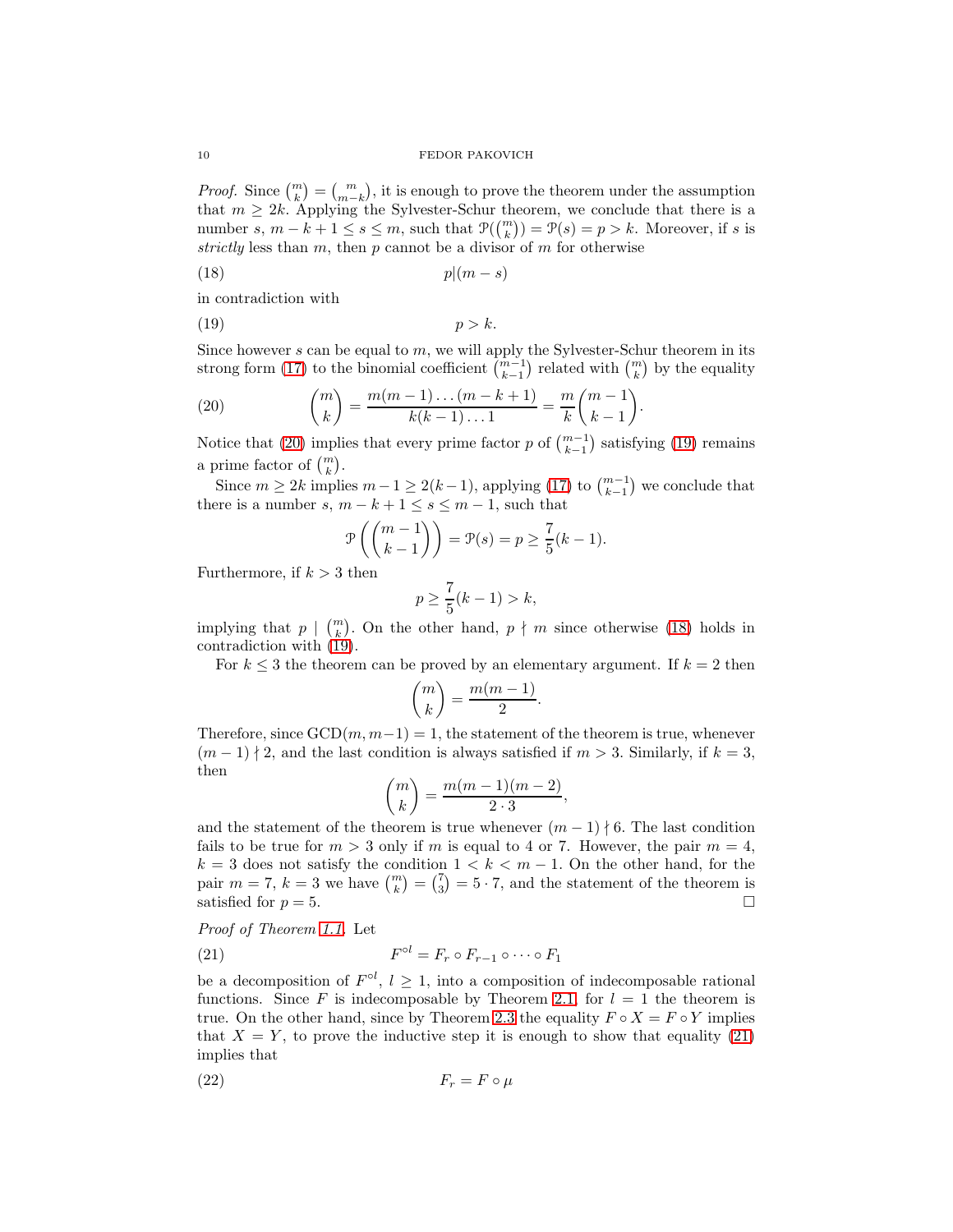*Proof.* Since  $\binom{m}{k} = \binom{m}{m-k}$ , it is enough to prove the theorem under the assumption that  $m \geq 2k$ . Applying the Sylvester-Schur theorem, we conclude that there is a number s,  $m - k + 1 \leq s \leq m$ , such that  $\mathcal{P}(\binom{m}{k}) = \mathcal{P}(s) = p > k$ . Moreover, if s is *strictly* less than  $m$ , then  $p$  cannot be a divisor of  $m$  for otherwise

<span id="page-9-2"></span>
$$
(18) \t\t\t p|(m-s)
$$

in contradiction with

<span id="page-9-1"></span>
$$
(19) \t\t\t p > k.
$$

Since however  $s$  can be equal to  $m$ , we will apply the Sylvester-Schur theorem in its strong form [\(17\)](#page-8-2) to the binomial coefficient  $\binom{m-1}{k-1}$  related with  $\binom{m}{k}$  by the equality

<span id="page-9-0"></span>(20) 
$$
{m \choose k} = \frac{m(m-1)...(m-k+1)}{k(k-1)...1} = \frac{m}{k} {m-1 \choose k-1}.
$$

Notice that [\(20\)](#page-9-0) implies that every prime factor p of  $\binom{m-1}{k-1}$  satisfying [\(19\)](#page-9-1) remains a prime factor of  $\binom{m}{k}$ .

Since  $m \geq 2k$  implies  $m-1 \geq 2(k-1)$ , applying [\(17\)](#page-8-2) to  $\binom{m-1}{k-1}$  we conclude that there is a number s,  $m - k + 1 \leq s \leq m - 1$ , such that

$$
\mathcal{P}\left(\binom{m-1}{k-1}\right) = \mathcal{P}(s) = p \ge \frac{7}{5}(k-1).
$$

Furthermore, if  $k > 3$  then

$$
p \ge \frac{7}{5}(k-1) > k,
$$

implying that  $p \mid \binom{m}{k}$ . On the other hand,  $p \nmid m$  since otherwise [\(18\)](#page-9-2) holds in contradiction with [\(19\)](#page-9-1).

For  $k \leq 3$  the theorem can be proved by an elementary argument. If  $k = 2$  then

$$
\binom{m}{k} = \frac{m(m-1)}{2}.
$$

Therefore, since  $GCD(m, m-1) = 1$ , the statement of the theorem is true, whenever  $(m-1) \nmid 2$ , and the last condition is always satisfied if  $m > 3$ . Similarly, if  $k = 3$ , then

$$
\binom{m}{k} = \frac{m(m-1)(m-2)}{2 \cdot 3},
$$

and the statement of the theorem is true whenever  $(m-1) \nmid 6$ . The last condition fails to be true for  $m > 3$  only if m is equal to 4 or 7. However, the pair  $m = 4$ ,  $k = 3$  does not satisfy the condition  $1 < k < m - 1$ . On the other hand, for the pair  $m = 7$ ,  $k = 3$  we have  $\binom{m}{k} = \binom{7}{3} = 5 \cdot 7$ , and the statement of the theorem is satisfied for  $p = 5$ .

*Proof of Theorem [1.1.](#page-1-0)* Let

<span id="page-9-3"></span>(21) 
$$
F^{\circ l} = F_r \circ F_{r-1} \circ \cdots \circ F_1
$$

be a decomposition of  $F^{\circ l}$ ,  $l \geq 1$ , into a composition of indecomposable rational functions. Since F is indecomposable by Theorem [2.1,](#page-4-0) for  $l = 1$  the theorem is true. On the other hand, since by Theorem [2.3](#page-6-0) the equality  $F \circ X = F \circ Y$  implies that  $X = Y$ , to prove the inductive step it is enough to show that equality [\(21\)](#page-9-3) implies that

<span id="page-9-4"></span>
$$
(22) \t\t\t F_r = F \circ \mu
$$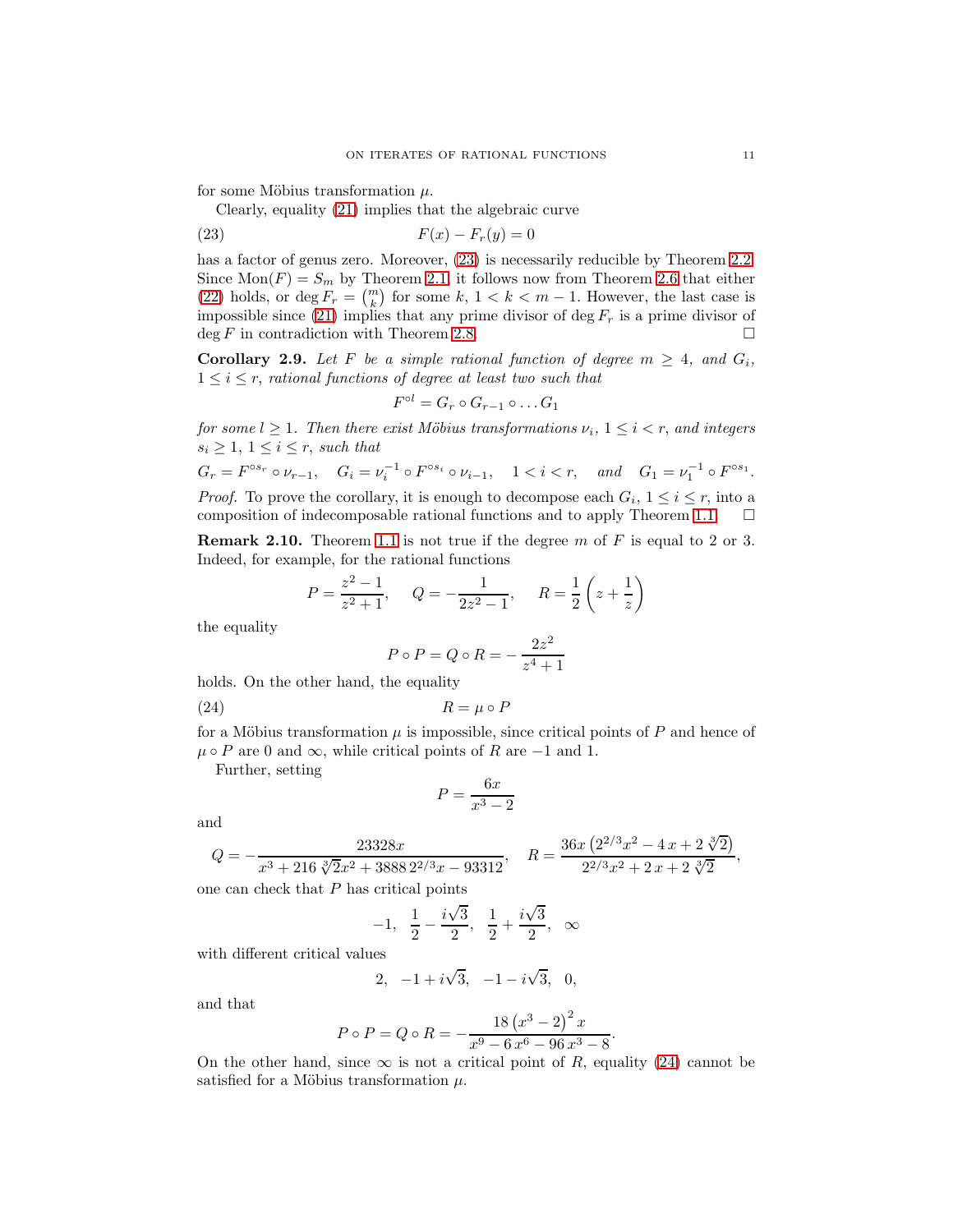for some Möbius transformation  $\mu$ .

Clearly, equality [\(21\)](#page-9-3) implies that the algebraic curve

<span id="page-10-0"></span>
$$
F(x) - F_r(y) = 0
$$

has a factor of genus zero. Moreover,  $(23)$  is necessarily reducible by Theorem [2.2.](#page-5-2) Since  $Mon(F) = S_m$  by Theorem [2.1,](#page-4-0) it follows now from Theorem [2.6](#page-7-6) that either [\(22\)](#page-9-4) holds, or deg  $F_r = {m \choose k}$  for some k,  $1 < k < m-1$ . However, the last case is impossible since [\(21\)](#page-9-3) implies that any prime divisor of deg  $F_r$  is a prime divisor of deg F in contradiction with Theorem [2.8.](#page-8-3)  $\Box$ 

<span id="page-10-2"></span>**Corollary 2.9.** Let F be a simple rational function of degree  $m \geq 4$ , and  $G_i$ ,  $1 \leq i \leq r$ , *rational functions of degree at least two such that* 

$$
F^{\circ l}=G_r\circ G_{r-1}\circ \dots G_1
$$

*for some*  $l \geq 1$ *. Then there exist Möbius transformations*  $\nu_i$ ,  $1 \leq i \leq r$ *, and integers*  $s_i \geq 1, 1 \leq i \leq r$ , *such that* 

$$
G_r = F^{\circ s_r} \circ \nu_{r-1}, \quad G_i = \nu_i^{-1} \circ F^{\circ s_i} \circ \nu_{i-1}, \quad 1 < i < r, \quad \text{and} \quad G_1 = \nu_1^{-1} \circ F^{\circ s_1}.
$$
\nProof. To prove the corollary, it is to decompose each  $G_i, 1 \leq i \leq r$ , into a

composition of indecomposable rational functions and to apply Theorem [1.1.](#page-1-0)  $\Box$ 

**Remark 2.10.** Theorem [1.1](#page-1-0) is not true if the degree m of  $F$  is equal to 2 or 3. Indeed, for example, for the rational functions

$$
P = \frac{z^2 - 1}{z^2 + 1}
$$
,  $Q = -\frac{1}{2z^2 - 1}$ ,  $R = \frac{1}{2}\left(z + \frac{1}{z}\right)$ 

the equality

$$
P \circ P = Q \circ R = -\frac{2z^2}{z^4 + 1}
$$

holds. On the other hand, the equality

<span id="page-10-1"></span>
$$
(24) \t\t R = \mu \circ P
$$

for a Möbius transformation  $\mu$  is impossible, since critical points of P and hence of  $\mu \circ P$  are 0 and  $\infty$ , while critical points of R are -1 and 1.

Further, setting

$$
P = \frac{6x}{x^3 - 2}
$$

and

$$
Q=-\frac{23328 x}{x^3+216\sqrt[3]{2} x^2+3888\,2^{2/3} x-93312},\quad R=\frac{36 x\left(2^{2/3} x^2-4\, x+2\sqrt[3]{2}\right)}{2^{2/3} x^2+2\, x+2\,\sqrt[3]{2}},
$$

one can check that  $P$  has critical points

$$
-1, \ \ \frac{1}{2} - \frac{i\sqrt{3}}{2}, \ \ \frac{1}{2} + \frac{i\sqrt{3}}{2}, \ \ \infty
$$

with different critical values

$$
2, -1 + i\sqrt{3}, -1 - i\sqrt{3}, 0,
$$

and that

$$
P \circ P = Q \circ R = -\frac{18 (x^3 - 2)^2 x}{x^9 - 6 x^6 - 96 x^3 - 8}.
$$

On the other hand, since  $\infty$  is not a critical point of R, equality [\(24\)](#page-10-1) cannot be satisfied for a Möbius transformation  $\mu$ .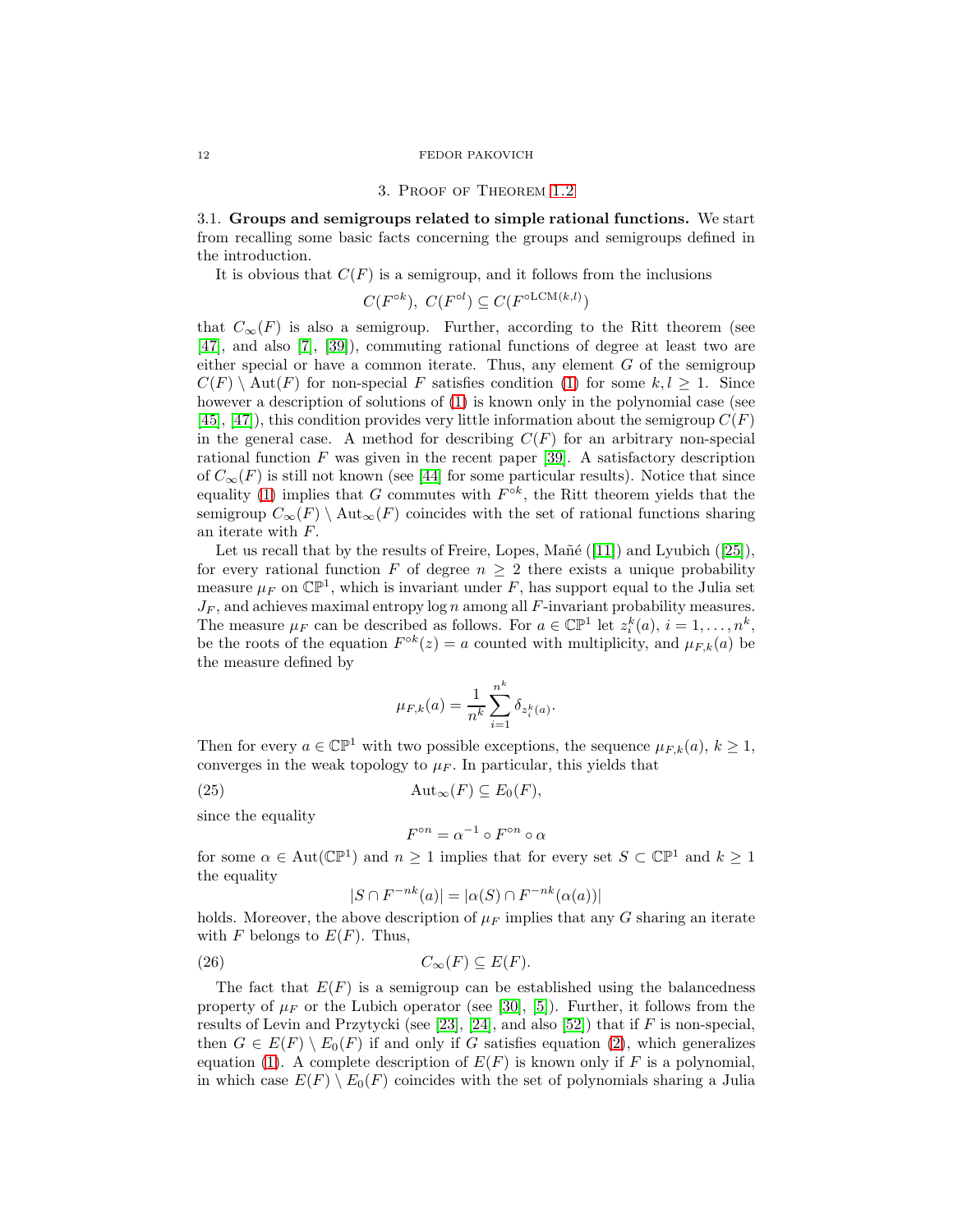### 3. Proof of Theorem [1.2](#page-2-0)

3.1. Groups and semigroups related to simple rational functions. We start from recalling some basic facts concerning the groups and semigroups defined in the introduction.

It is obvious that  $C(F)$  is a semigroup, and it follows from the inclusions

$$
C(F^{\circ k}),\ C(F^{\circ l}) \subseteq C(F^{\circ LCM(k,l)})
$$

that  $C_{\infty}(F)$  is also a semigroup. Further, according to the Ritt theorem (see [\[47\]](#page-21-9), and also [\[7\]](#page-20-12), [\[39\]](#page-21-25)), commuting rational functions of degree at least two are either special or have a common iterate. Thus, any element  $G$  of the semigroup  $C(F) \setminus \text{Aut}(F)$  for non-special F satisfies condition [\(1\)](#page-1-1) for some  $k, l \geq 1$ . Since however a description of solutions of  $(1)$  is known only in the polynomial case (see  $[45]$ ,  $[47]$ , this condition provides very little information about the semigroup  $C(F)$ in the general case. A method for describing  $C(F)$  for an arbitrary non-special rational function  $F$  was given in the recent paper [\[39\]](#page-21-25). A satisfactory description of  $C_{\infty}(F)$  is still not known (see [\[44\]](#page-21-27) for some particular results). Notice that since equality [\(1\)](#page-1-1) implies that G commutes with  $F^{\circ k}$ , the Ritt theorem yields that the semigroup  $C_{\infty}(F) \setminus \text{Aut}_{\infty}(F)$  coincides with the set of rational functions sharing an iterate with F.

Let us recall that by the results of Freire, Lopes, Mañé ([\[11\]](#page-20-13)) and Lyubich ([\[25\]](#page-21-28)), for every rational function F of degree  $n \geq 2$  there exists a unique probability measure  $\mu_F$  on  $\mathbb{CP}^1$ , which is invariant under F, has support equal to the Julia set  $J_F$ , and achieves maximal entropy log n among all  $F$ -invariant probability measures. The measure  $\mu_F$  can be described as follows. For  $a \in \mathbb{CP}^1$  let  $z_i^k(a), i = 1, \ldots, n^k$ , be the roots of the equation  $F^{\circ k}(z) = a$  counted with multiplicity, and  $\mu_{F,k}(a)$  be the measure defined by

$$
\mu_{F,k}(a) = \frac{1}{n^k} \sum_{i=1}^{n^k} \delta_{z_i^k(a)}
$$

.

Then for every  $a \in \mathbb{CP}^1$  with two possible exceptions, the sequence  $\mu_{F,k}(a), k \geq 1$ , converges in the weak topology to  $\mu_F$ . In particular, this yields that

<span id="page-11-0"></span>(25)  $\text{Aut}_{\infty}(F) \subseteq E_0(F),$ 

since the equality

$$
F^{\circ n} = \alpha^{-1} \circ F^{\circ n} \circ \alpha
$$

for some  $\alpha \in \text{Aut}(\mathbb{CP}^1)$  and  $n \geq 1$  implies that for every set  $S \subset \mathbb{CP}^1$  and  $k \geq 1$ the equality

$$
|S \cap F^{-nk}(a)| = |\alpha(S) \cap F^{-nk}(\alpha(a))|
$$

holds. Moreover, the above description of  $\mu_F$  implies that any G sharing an iterate with F belongs to  $E(F)$ . Thus,

<span id="page-11-1"></span>(26) 
$$
C_{\infty}(F) \subseteq E(F).
$$

The fact that  $E(F)$  is a semigroup can be established using the balancedness property of  $\mu_F$  or the Lubich operator (see [\[30\]](#page-21-1), [\[5\]](#page-20-14)). Further, it follows from the results of Levin and Przytycki (see [\[23\]](#page-21-10), [\[24\]](#page-21-11), and also [\[52\]](#page-22-1)) that if  $F$  is non-special, then  $G \in E(F) \setminus E_0(F)$  if and only if G satisfies equation [\(2\)](#page-1-2), which generalizes equation [\(1\)](#page-1-1). A complete description of  $E(F)$  is known only if F is a polynomial, in which case  $E(F) \setminus E_0(F)$  coincides with the set of polynomials sharing a Julia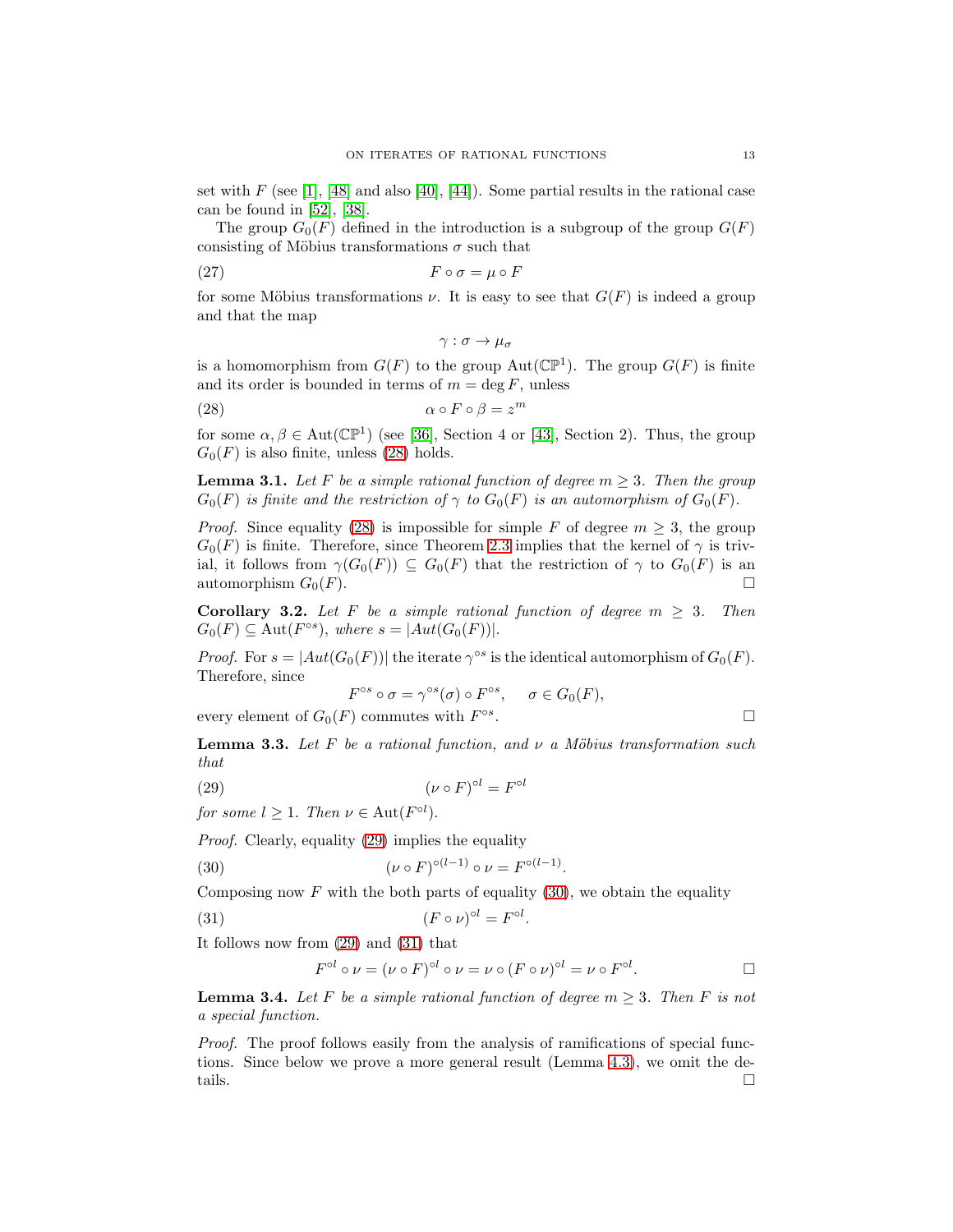set with  $F$  (see [\[1\]](#page-20-15), [\[48\]](#page-21-29) and also [\[40\]](#page-21-30), [\[44\]](#page-21-27)). Some partial results in the rational case can be found in [\[52\]](#page-22-1), [\[38\]](#page-21-31).

The group  $G_0(F)$  defined in the introduction is a subgroup of the group  $G(F)$ consisting of Möbius transformations  $\sigma$  such that

<span id="page-12-5"></span>(27) 
$$
F \circ \sigma = \mu \circ F
$$

for some Möbius transformations  $\nu$ . It is easy to see that  $G(F)$  is indeed a group and that the map

$$
\gamma:\sigma\to\mu_\sigma
$$

is a homomorphism from  $G(F)$  to the group  $Aut(\mathbb{CP}^1)$ . The group  $G(F)$  is finite and its order is bounded in terms of  $m = \deg F$ , unless

<span id="page-12-0"></span>(28) 
$$
\alpha \circ F \circ \beta = z^m
$$

for some  $\alpha, \beta \in \text{Aut}(\mathbb{CP}^1)$  (see [\[36\]](#page-21-16), Section 4 or [\[43\]](#page-21-32), Section 2). Thus, the group  $G_0(F)$  is also finite, unless [\(28\)](#page-12-0) holds.

<span id="page-12-8"></span>**Lemma 3.1.** Let F be a simple rational function of degree  $m \geq 3$ . Then the group  $G_0(F)$  *is finite and the restriction of*  $\gamma$  *to*  $G_0(F)$  *is an automorphism of*  $G_0(F)$ *.* 

*Proof.* Since equality [\(28\)](#page-12-0) is impossible for simple F of degree  $m \geq 3$ , the group  $G_0(F)$  is finite. Therefore, since Theorem [2.3](#page-6-0) implies that the kernel of  $\gamma$  is trivial, it follows from  $\gamma(G_0(F)) \subseteq G_0(F)$  that the restriction of  $\gamma$  to  $G_0(F)$  is an automorphism  $G_0(F)$ . automorphism  $G_0(F)$ .

<span id="page-12-4"></span>**Corollary 3.2.** Let F be a simple rational function of degree  $m \geq 3$ . Then  $G_0(F) \subseteq \text{Aut}(F^{\circ s}),$  where  $s = |Aut(G_0(F))|$ .

*Proof.* For  $s = |Aut(G_0(F))|$  the iterate  $\gamma^{os}$  is the identical automorphism of  $G_0(F)$ . Therefore, since

$$
F^{\circ s} \circ \sigma = \gamma^{\circ s}(\sigma) \circ F^{\circ s}, \quad \sigma \in G_0(F),
$$
  
every element of  $G_0(F)$  commutes with  $F^{\circ s}$ .

<span id="page-12-7"></span>**Lemma 3.3.** Let  $F$  be a rational function, and  $\nu$  a Möbius transformation such *that*

<span id="page-12-1"></span>
$$
(\nu \circ F)^{\circ l} = F^{\circ l}
$$

*for some*  $l \geq 1$ *. Then*  $\nu \in \text{Aut}(F^{\circ l})$ *.* 

*Proof.* Clearly, equality [\(29\)](#page-12-1) implies the equality

<span id="page-12-2"></span>(30) 
$$
(\nu \circ F)^{\circ (l-1)} \circ \nu = F^{\circ (l-1)}
$$

Composing now  $F$  with the both parts of equality [\(30\)](#page-12-2), we obtain the equality

<span id="page-12-3"></span>(31) 
$$
(F \circ \nu)^{\circ l} = F^{\circ l}.
$$

It follows now from [\(29\)](#page-12-1) and [\(31\)](#page-12-3) that

$$
F^{\circ l} \circ \nu = (\nu \circ F)^{\circ l} \circ \nu = \nu \circ (F \circ \nu)^{\circ l} = \nu \circ F^{\circ l}.
$$

.

<span id="page-12-6"></span>**Lemma 3.4.** Let F be a simple rational function of degree  $m > 3$ . Then F is not *a special function.*

*Proof.* The proof follows easily from the analysis of ramifications of special functions. Since below we prove a more general result (Lemma [4.3\)](#page-17-0), we omit the details.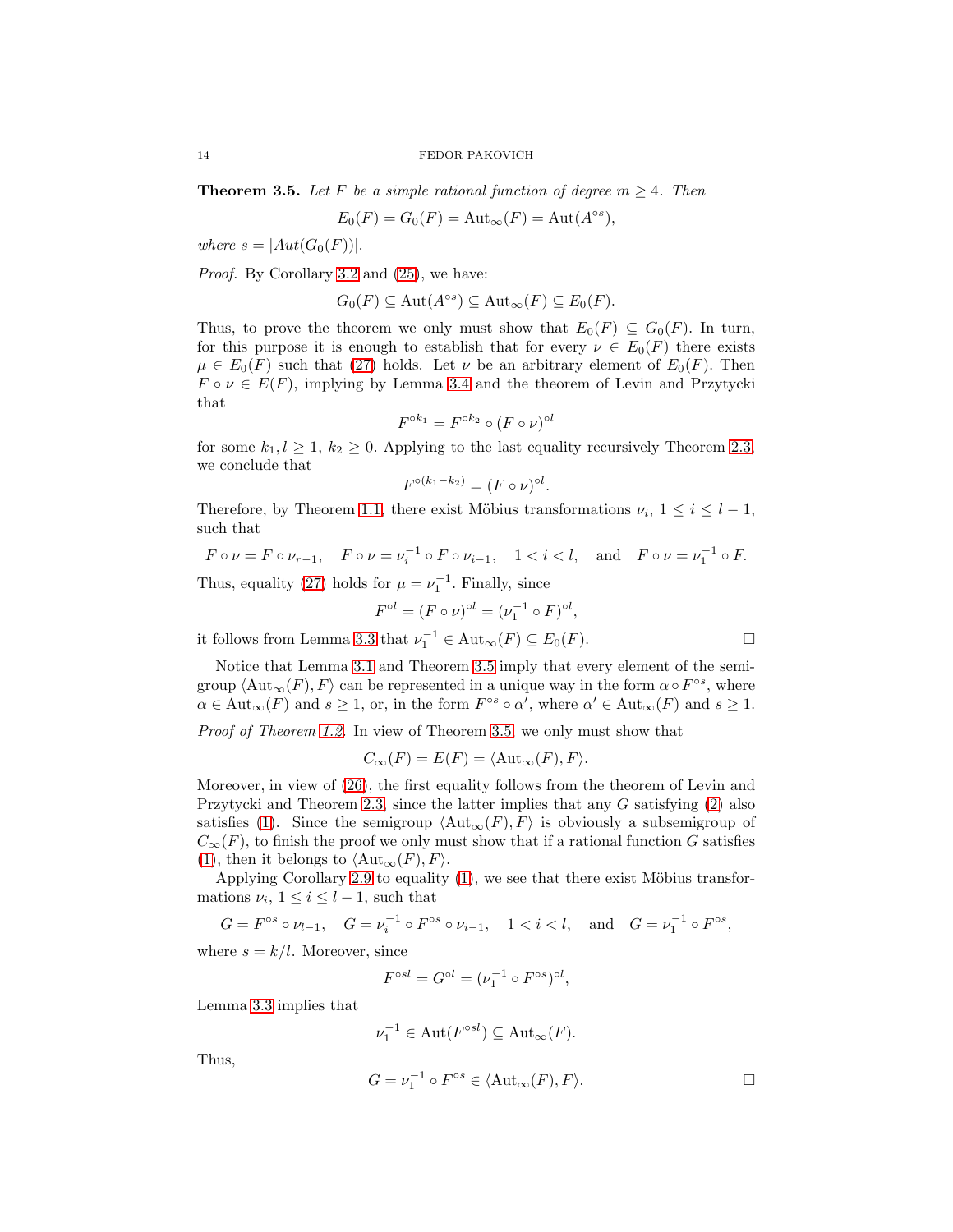<span id="page-13-0"></span>**Theorem 3.5.** Let F be a simple rational function of degree  $m \geq 4$ . Then

$$
E_0(F) = G_0(F) = \text{Aut}_{\infty}(F) = \text{Aut}(A^{\circ s}),
$$

*where*  $s = |Aut(G_0(F))|$ .

*Proof.* By Corollary [3.2](#page-12-4) and [\(25\)](#page-11-0), we have:

$$
G_0(F) \subseteq \mathrm{Aut}(A^{\circ s}) \subseteq \mathrm{Aut}_{\infty}(F) \subseteq E_0(F).
$$

Thus, to prove the theorem we only must show that  $E_0(F) \subseteq G_0(F)$ . In turn, for this purpose it is enough to establish that for every  $\nu \in E_0(F)$  there exists  $\mu \in E_0(F)$  such that [\(27\)](#page-12-5) holds. Let  $\nu$  be an arbitrary element of  $E_0(F)$ . Then  $F \circ \nu \in E(F)$ , implying by Lemma [3.4](#page-12-6) and the theorem of Levin and Przytycki that

$$
F^{\circ k_1} = F^{\circ k_2} \circ (F \circ \nu)^{\circ l}
$$

for some  $k_1, l \geq 1, k_2 \geq 0$ . Applying to the last equality recursively Theorem [2.3,](#page-6-0) we conclude that

$$
F^{\circ (k_1-k_2)} = (F \circ \nu)^{\circ l}.
$$

Therefore, by Theorem [1.1,](#page-1-0) there exist Möbius transformations  $\nu_i$ ,  $1 \leq i \leq l-1$ , such that

 $F \circ \nu = F \circ \nu_{r-1}, \quad F \circ \nu = \nu_i^{-1} \circ F \circ \nu_{i-1}, \quad 1 < i < l, \text{ and } F \circ \nu = \nu_1^{-1} \circ F.$ 

Thus, equality [\(27\)](#page-12-5) holds for  $\mu = \nu_1^{-1}$ . Finally, since

$$
F^{\circ l} = (F \circ \nu)^{\circ l} = (\nu_1^{-1} \circ F)^{\circ l},
$$

it follows from Lemma [3.3](#page-12-7) that  $\nu_1^{-1} \in \text{Aut}_{\infty}(F) \subseteq E_0(F)$ .

Notice that Lemma 3.1 and Theorem 3.5 imply that every element of the semi-  
group 
$$
\langle \text{Aut}_{\infty}(F), F \rangle
$$
 can be represented in a unique way in the form  $\alpha \circ F^{\circ s}$ , where  $\alpha \in \text{Aut}_{\infty}(F)$  and  $s \ge 1$ , or, in the form  $F^{\circ s} \circ \alpha'$ , where  $\alpha' \in \text{Aut}_{\infty}(F)$  and  $s \ge 1$ .

*Proof of Theorem [1.2.](#page-2-0)* In view of Theorem [3.5,](#page-13-0) we only must show that

$$
C_{\infty}(F) = E(F) = \langle \text{Aut}_{\infty}(F), F \rangle.
$$

Moreover, in view of [\(26\)](#page-11-1), the first equality follows from the theorem of Levin and Przytycki and Theorem [2.3,](#page-6-0) since the latter implies that any  $G$  satisfying  $(2)$  also satisfies [\(1\)](#page-1-1). Since the semigroup  $\langle \text{Aut}_{\infty}(F), F \rangle$  is obviously a subsemigroup of  $C_{\infty}(F)$ , to finish the proof we only must show that if a rational function G satisfies [\(1\)](#page-1-1), then it belongs to  $\langle \text{Aut}_{\infty}(F), F \rangle$ .

Applying Corollary [2.9](#page-10-2) to equality  $(1)$ , we see that there exist Möbius transformations  $\nu_i$ ,  $1 \leq i \leq l-1$ , such that

$$
G = F^{\circ s} \circ \nu_{l-1}, \quad G = \nu_i^{-1} \circ F^{\circ s} \circ \nu_{i-1}, \quad 1 < i < l, \quad \text{and} \quad G = \nu_1^{-1} \circ F^{\circ s},
$$

where  $s = k/l$ . Moreover, since

$$
F^{\circ sl} = G^{\circ l} = (\nu_1^{-1} \circ F^{\circ s})^{\circ l},
$$

Lemma [3.3](#page-12-7) implies that

$$
\nu_1^{-1} \in \mathrm{Aut}(F^{\circ sl}) \subseteq \mathrm{Aut}_{\infty}(F).
$$

Thus,

$$
G = \nu_1^{-1} \circ F^{\circ s} \in \langle \text{Aut}_{\infty}(F), F \rangle.
$$

$$
\Box
$$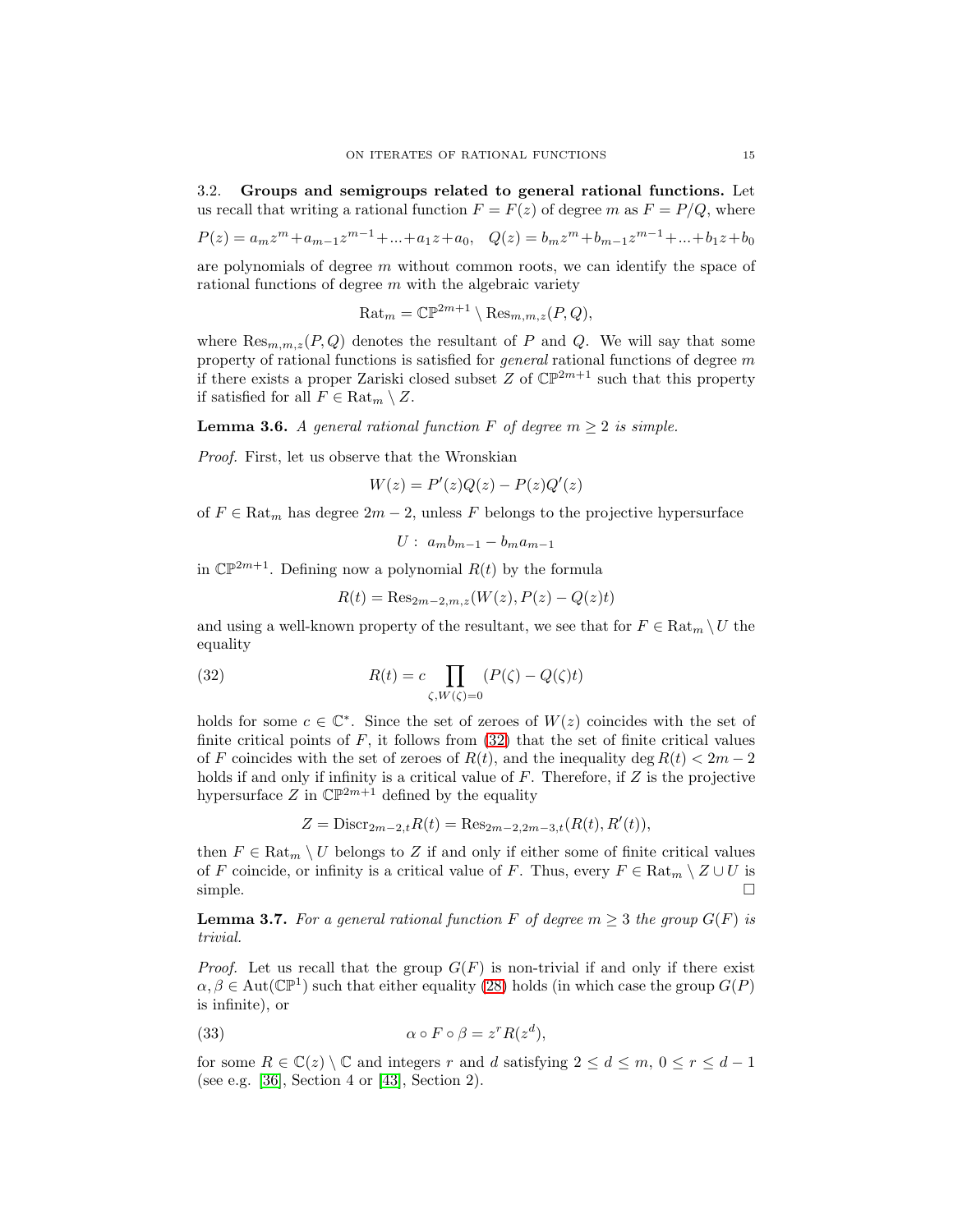<span id="page-14-0"></span>3.2. Groups and semigroups related to general rational functions. Let us recall that writing a rational function  $F = F(z)$  of degree m as  $F = P/Q$ , where

$$
P(z) = a_m z^m + a_{m-1} z^{m-1} + \dots + a_1 z + a_0, \quad Q(z) = b_m z^m + b_{m-1} z^{m-1} + \dots + b_1 z + b_0
$$

are polynomials of degree m without common roots, we can identify the space of rational functions of degree  $m$  with the algebraic variety

 $\text{Rat}_m = \mathbb{CP}^{2m+1} \setminus \text{Res}_{m,m,z}(P,Q),$ 

where  $\text{Res}_{m,m,z}(P,Q)$  denotes the resultant of P and Q. We will say that some property of rational functions is satisfied for *general* rational functions of degree m if there exists a proper Zariski closed subset Z of  $\mathbb{CP}^{2m+1}$  such that this property if satisfied for all  $F \in \text{Rat}_m \setminus Z$ .

<span id="page-14-4"></span>**Lemma 3.6.** *A general rational function*  $F$  *of degree*  $m \geq 2$  *is simple.* 

*Proof.* First, let us observe that the Wronskian

$$
W(z) = P'(z)Q(z) - P(z)Q'(z)
$$

of  $F \in \text{Rat}_m$  has degree  $2m - 2$ , unless F belongs to the projective hypersurface

$$
U: a_m b_{m-1} - b_m a_{m-1}
$$

in  $\mathbb{CP}^{2m+1}$ . Defining now a polynomial  $R(t)$  by the formula

$$
R(t) = \text{Res}_{2m-2,m,z}(W(z), P(z) - Q(z)t)
$$

and using a well-known property of the resultant, we see that for  $F \in \text{Rat}_m \setminus U$  the equality

<span id="page-14-1"></span>(32) 
$$
R(t) = c \prod_{\zeta, W(\zeta) = 0} (P(\zeta) - Q(\zeta)t)
$$

holds for some  $c \in \mathbb{C}^*$ . Since the set of zeroes of  $W(z)$  coincides with the set of finite critical points of  $F$ , it follows from  $(32)$  that the set of finite critical values of F coincides with the set of zeroes of  $R(t)$ , and the inequality deg  $R(t) < 2m-2$ holds if and only if infinity is a critical value of  $F$ . Therefore, if  $Z$  is the projective hypersurface  $Z$  in  $\mathbb{CP}^{2m+1}$  defined by the equality

$$
Z = \text{Discr}_{2m-2,t} R(t) = \text{Res}_{2m-2, 2m-3, t}(R(t), R'(t)),
$$

then  $F \in \text{Rat}_m \setminus U$  belongs to Z if and only if either some of finite critical values of F coincide, or infinity is a critical value of F. Thus, every  $F \in \text{Rat}_m \setminus Z \cup U$  is simple.  $\Box$ 

<span id="page-14-3"></span>**Lemma 3.7.** For a general rational function F of degree  $m \geq 3$  the group  $G(F)$  is *trivial.*

*Proof.* Let us recall that the group  $G(F)$  is non-trivial if and only if there exist  $\alpha, \beta \in \text{Aut}(\mathbb{CP}^1)$  such that either equality [\(28\)](#page-12-0) holds (in which case the group  $G(P)$ is infinite), or

<span id="page-14-2"></span>(33) 
$$
\alpha \circ F \circ \beta = z^r R(z^d),
$$

for some  $R \in \mathbb{C}(z) \setminus \mathbb{C}$  and integers r and d satisfying  $2 \leq d \leq m, 0 \leq r \leq d-1$ (see e.g. [\[36\]](#page-21-16), Section 4 or [\[43\]](#page-21-32), Section 2).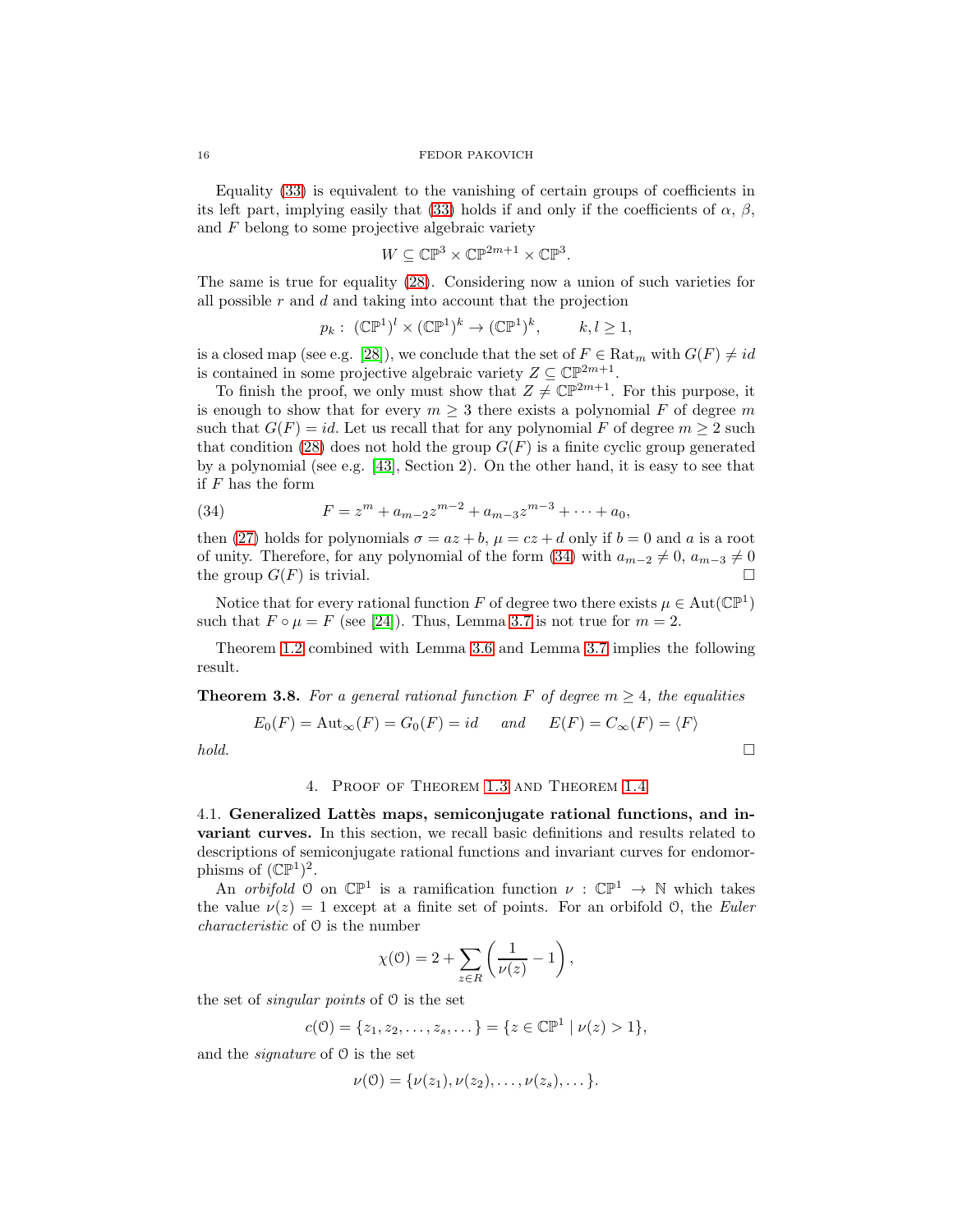Equality [\(33\)](#page-14-2) is equivalent to the vanishing of certain groups of coefficients in its left part, implying easily that [\(33\)](#page-14-2) holds if and only if the coefficients of  $\alpha$ ,  $\beta$ , and  $F$  belong to some projective algebraic variety

$$
W \subseteq \mathbb{CP}^3 \times \mathbb{CP}^{2m+1} \times \mathbb{CP}^3.
$$

The same is true for equality [\(28\)](#page-12-0). Considering now a union of such varieties for all possible  $r$  and  $d$  and taking into account that the projection

$$
p_k: (\mathbb{CP}^1)^l \times (\mathbb{CP}^1)^k \to (\mathbb{CP}^1)^k, \qquad k, l \ge 1,
$$

is a closed map (see e.g. [\[28\]](#page-21-33)), we conclude that the set of  $F \in \text{Rat}_{m}$  with  $G(F) \neq id$ is contained in some projective algebraic variety  $Z \subseteq \mathbb{CP}^{2m+1}$ .

To finish the proof, we only must show that  $Z \neq \mathbb{CP}^{2m+1}$ . For this purpose, it is enough to show that for every  $m \geq 3$  there exists a polynomial F of degree m such that  $G(F) = id$ . Let us recall that for any polynomial F of degree  $m \geq 2$  such that condition [\(28\)](#page-12-0) does not hold the group  $G(F)$  is a finite cyclic group generated by a polynomial (see e.g. [\[43\]](#page-21-32), Section 2). On the other hand, it is easy to see that if F has the form

<span id="page-15-0"></span>(34) 
$$
F = z^m + a_{m-2}z^{m-2} + a_{m-3}z^{m-3} + \cdots + a_0,
$$

then [\(27\)](#page-12-5) holds for polynomials  $\sigma = az + b$ ,  $\mu = cz + d$  only if  $b = 0$  and a is a root of unity. Therefore, for any polynomial of the form [\(34\)](#page-15-0) with  $a_{m-2} \neq 0$ ,  $a_{m-3} \neq 0$ the group  $G(F)$  is trivial.

Notice that for every rational function F of degree two there exists  $\mu \in Aut(\mathbb{CP}^1)$ such that  $F \circ \mu = F$  (see [\[24\]](#page-21-11)). Thus, Lemma [3.7](#page-14-3) is not true for  $m = 2$ .

Theorem [1.2](#page-2-0) combined with Lemma [3.6](#page-14-4) and Lemma [3.7](#page-14-3) implies the following result.

**Theorem 3.8.** For a general rational function F of degree  $m \geq 4$ , the equalities

$$
E_0(F) = \text{Aut}_{\infty}(F) = G_0(F) = id \quad \text{and} \quad E(F) = C_{\infty}(F) = \langle F \rangle
$$
  
hold.

# 4. Proof of Theorem [1.3](#page-2-3) and Theorem [1.4](#page-3-2)

4.1. Generalized Lattès maps, semiconjugate rational functions, and invariant curves. In this section, we recall basic definitions and results related to descriptions of semiconjugate rational functions and invariant curves for endomorphisms of  $(\mathbb{CP}^1)^2$ .

An *orbifold*  $\theta$  on  $\mathbb{CP}^1$  is a ramification function  $\nu : \mathbb{CP}^1 \to \mathbb{N}$  which takes the value  $\nu(z) = 1$  except at a finite set of points. For an orbifold 0, the *Euler characteristic* of O is the number

$$
\chi(\mathbf{0}) = 2 + \sum_{z \in R} \left( \frac{1}{\nu(z)} - 1 \right),
$$

the set of *singular points* of O is the set

$$
c(\mathcal{O}) = \{z_1, z_2, \dots, z_s, \dots\} = \{z \in \mathbb{CP}^1 \mid \nu(z) > 1\},\
$$

and the *signature* of O is the set

$$
\nu(0) = {\nu(z_1), \nu(z_2), \ldots, \nu(z_s), \ldots}.
$$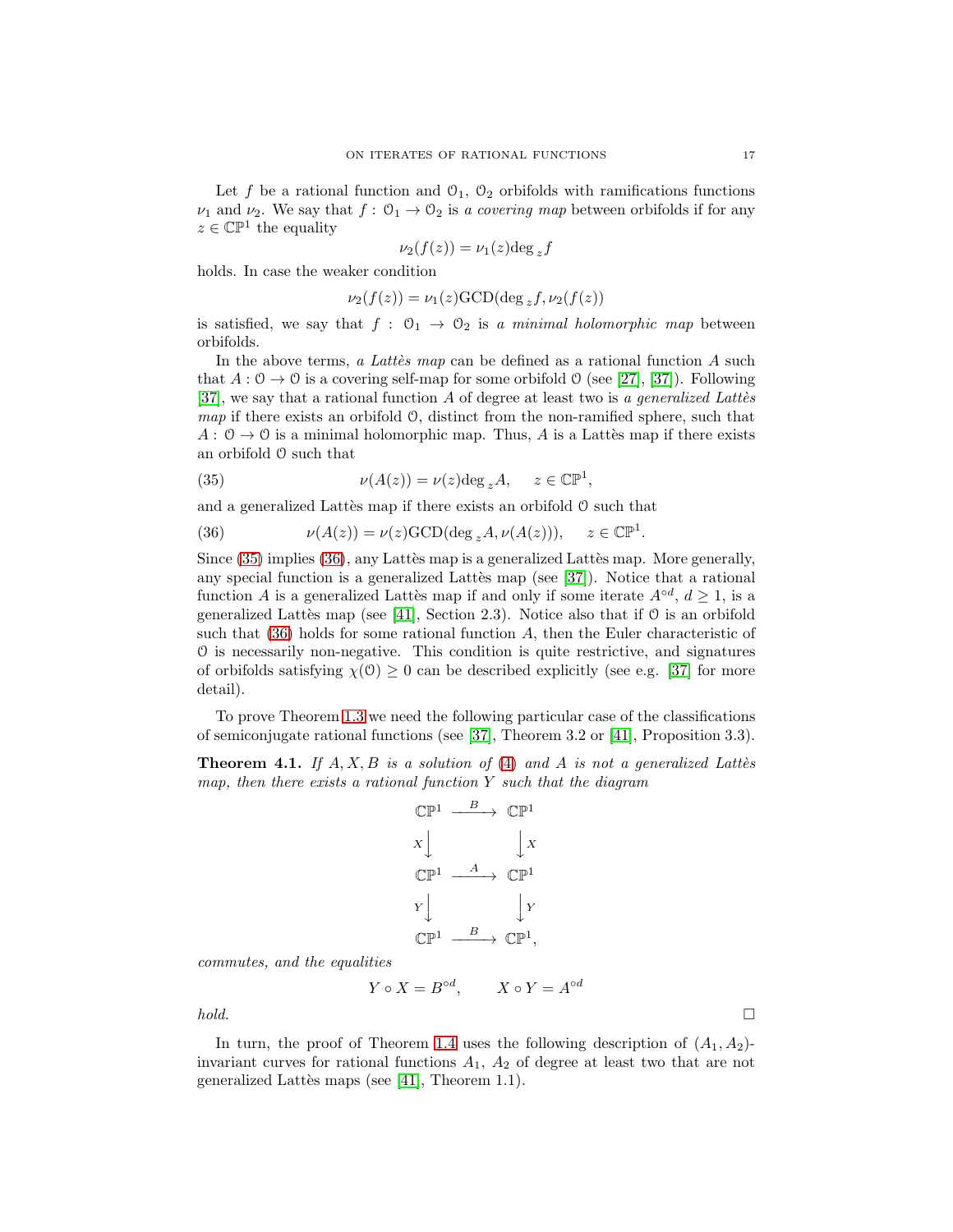Let f be a rational function and  $\mathcal{O}_1$ ,  $\mathcal{O}_2$  orbifolds with ramifications functions  $\nu_1$  and  $\nu_2$ . We say that  $f: \mathcal{O}_1 \to \mathcal{O}_2$  is a covering map between orbifolds if for any  $z \in \mathbb{CP}^1$  the equality

$$
\nu_2(f(z)) = \nu_1(z) \deg_z f
$$

holds. In case the weaker condition

$$
\nu_2(f(z)) = \nu_1(z) \text{GCD}(\deg_z f, \nu_2(f(z)))
$$

is satisfied, we say that  $f : \mathcal{O}_1 \to \mathcal{O}_2$  is a minimal holomorphic map between orbifolds.

In the above terms, *a Lattes map* can be defined as a rational function A such that  $A: \mathcal{O} \to \mathcal{O}$  is a covering self-map for some orbifold  $\mathcal{O}$  (see [\[27\]](#page-21-34), [\[37\]](#page-21-17)). Following [\[37\]](#page-21-17), we say that a rational function A of degree at least two is *a generalized Latt`es map* if there exists an orbifold O, distinct from the non-ramified sphere, such that  $A: \mathcal{O} \to \mathcal{O}$  is a minimal holomorphic map. Thus, A is a Lattees map if there exists an orbifold O such that

<span id="page-16-0"></span>(35) 
$$
\nu(A(z)) = \nu(z) \deg_z A, \quad z \in \mathbb{CP}^1,
$$

and a generalized Lattès map if there exists an orbifold  $\theta$  such that

<span id="page-16-1"></span>(36) 
$$
\nu(A(z)) = \nu(z) \text{GCD}(\deg_z A, \nu(A(z))), \quad z \in \mathbb{CP}^1
$$

Since  $(35)$  implies  $(36)$ , any Lattès map is a generalized Lattès map. More generally, any special function is a generalized Lattès map (see  $[37]$ ). Notice that a rational function A is a generalized Lattes map if and only if some iterate  $A^{\circ d}$ ,  $d \ge 1$ , is a generalized Lattès map (see [\[41\]](#page-21-5), Section 2.3). Notice also that if  $\mathcal O$  is an orbifold such that  $(36)$  holds for some rational function  $A$ , then the Euler characteristic of O is necessarily non-negative. This condition is quite restrictive, and signatures of orbifolds satisfying  $\chi(0) \geq 0$  can be described explicitly (see e.g. [\[37\]](#page-21-17) for more detail).

To prove Theorem [1.3](#page-2-3) we need the following particular case of the classifications of semiconjugate rational functions (see [\[37\]](#page-21-17), Theorem 3.2 or [\[41\]](#page-21-5), Proposition 3.3).

<span id="page-16-2"></span>**Theorem 4.1.** If  $A, X, B$  is a solution of [\(4\)](#page-2-2) and  $A$  is not a generalized Latter *map, then there exists a rational function* Y *such that the diagram*

$$
\begin{array}{ccc}\n\mathbb{CP}^1 & \xrightarrow{B} & \mathbb{CP}^1 \\
X & & \downarrow X \\
\mathbb{CP}^1 & \xrightarrow{A} & \mathbb{CP}^1 \\
Y & & \downarrow Y \\
\mathbb{CP}^1 & \xrightarrow{B} & \mathbb{CP}^1,\n\end{array}
$$

*commutes, and the equalities*

$$
Y \circ X = B^{\circ d}, \qquad X \circ Y = A^{\circ d}
$$

*hold.*

In turn, the proof of Theorem [1.4](#page-3-2) uses the following description of  $(A_1, A_2)$ invariant curves for rational functions  $A_1$ ,  $A_2$  of degree at least two that are not generalized Lattès maps (see  $[41]$ , Theorem 1.1).

.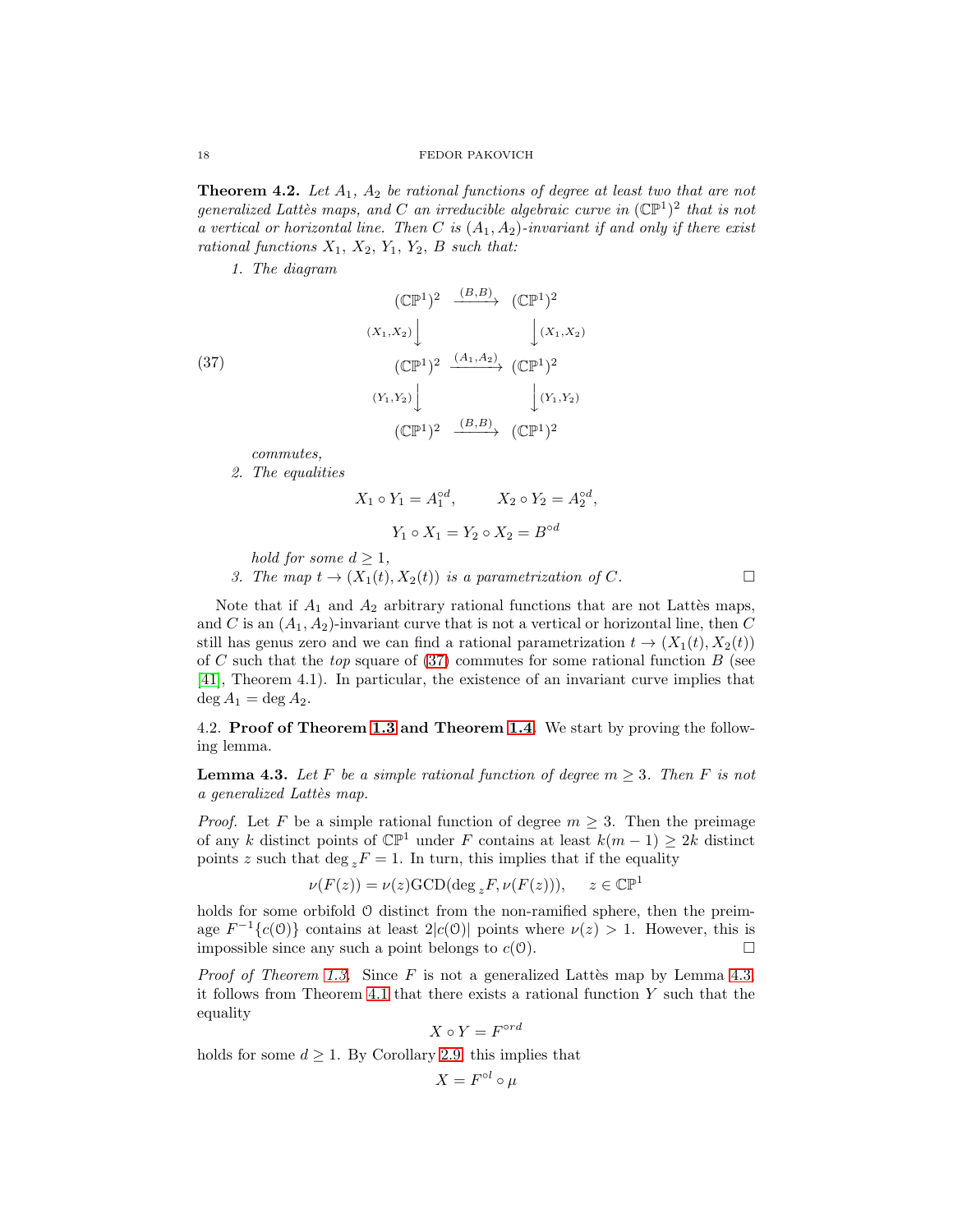<span id="page-17-2"></span>**Theorem 4.2.** Let  $A_1$ ,  $A_2$  be rational functions of degree at least two that are not *generalized Lattès maps, and* C *an irreducible algebraic curve in*  $({\mathbb{CP}}^1)^2$  *that is not a vertical or horizontal line. Then* C *is* (A1, A2)*-invariant if and only if there exist rational functions*  $X_1$ ,  $X_2$ ,  $Y_1$ ,  $Y_2$ ,  $B$  *such that:* 

*1. The diagram*

<span id="page-17-1"></span>(37)  
\n
$$
\begin{array}{ccc}\n & (\mathbb{CP}^1)^2 & \xrightarrow{(B,B)} & (\mathbb{CP}^1)^2 \\
 & & \downarrow (x_1, x_2) & \downarrow (x_1, x_2) \\
 & & (\mathbb{CP}^1)^2 & \xrightarrow{(A_1, A_2)} & (\mathbb{CP}^1)^2 \\
 & & & \downarrow (x_1, x_2) & \downarrow (x_1, x_2) \\
 & & & (\mathbb{CP}^1)^2 & \xrightarrow{(B,B)} & (\mathbb{CP}^1)^2\n\end{array}
$$

*commutes,*

*2. The equalities*

$$
X_1 \circ Y_1 = A_1^{\circ d}, \qquad X_2 \circ Y_2 = A_2^{\circ d},
$$

$$
Y_1 \circ X_1 = Y_2 \circ X_2 = B^{\circ d}
$$

*hold for some*  $d > 1$ *,* 

*3. The map*  $t \to (X_1(t), X_2(t))$  *is a parametrization of* C.

Note that if  $A_1$  and  $A_2$  arbitrary rational functions that are not Lattes maps, and C is an  $(A_1, A_2)$ -invariant curve that is not a vertical or horizontal line, then C still has genus zero and we can find a rational parametrization  $t \to (X_1(t), X_2(t))$ of C such that the *top* square of [\(37\)](#page-17-1) commutes for some rational function B (see [\[41\]](#page-21-5), Theorem 4.1). In particular, the existence of an invariant curve implies that  $\deg A_1 = \deg A_2.$ 

4.2. Proof of Theorem [1.3](#page-2-3) and Theorem [1.4.](#page-3-2) We start by proving the following lemma.

<span id="page-17-0"></span>**Lemma 4.3.** Let F be a simple rational function of degree  $m \geq 3$ . Then F is not *a generalized Latt`es map.*

*Proof.* Let F be a simple rational function of degree  $m \geq 3$ . Then the preimage of any k distinct points of  $\mathbb{CP}^1$  under F contains at least  $k(m-1) \geq 2k$  distinct points z such that deg  ${}_{z}F = 1$ . In turn, this implies that if the equality

$$
\nu(F(z)) = \nu(z) \text{GCD}(\deg_z F, \nu(F(z))), \quad z \in \mathbb{CP}^1
$$

holds for some orbifold  $\theta$  distinct from the non-ramified sphere, then the preimage  $F^{-1}{c(0)}$  contains at least  $2|c(0)|$  points where  $\nu(z) > 1$ . However, this is impossible since any such a point belongs to  $c(\mathcal{O})$ .

*Proof of Theorem [1.3.](#page-2-3)* Since  $F$  is not a generalized Lattès map by Lemma [4.3,](#page-17-0) it follows from Theorem [4.1](#page-16-2) that there exists a rational function Y such that the equality

$$
X\circ Y=F^{\circ rd}
$$

holds for some  $d \geq 1$ . By Corollary [2.9,](#page-10-2) this implies that

$$
X = F^{\circ l} \circ \mu
$$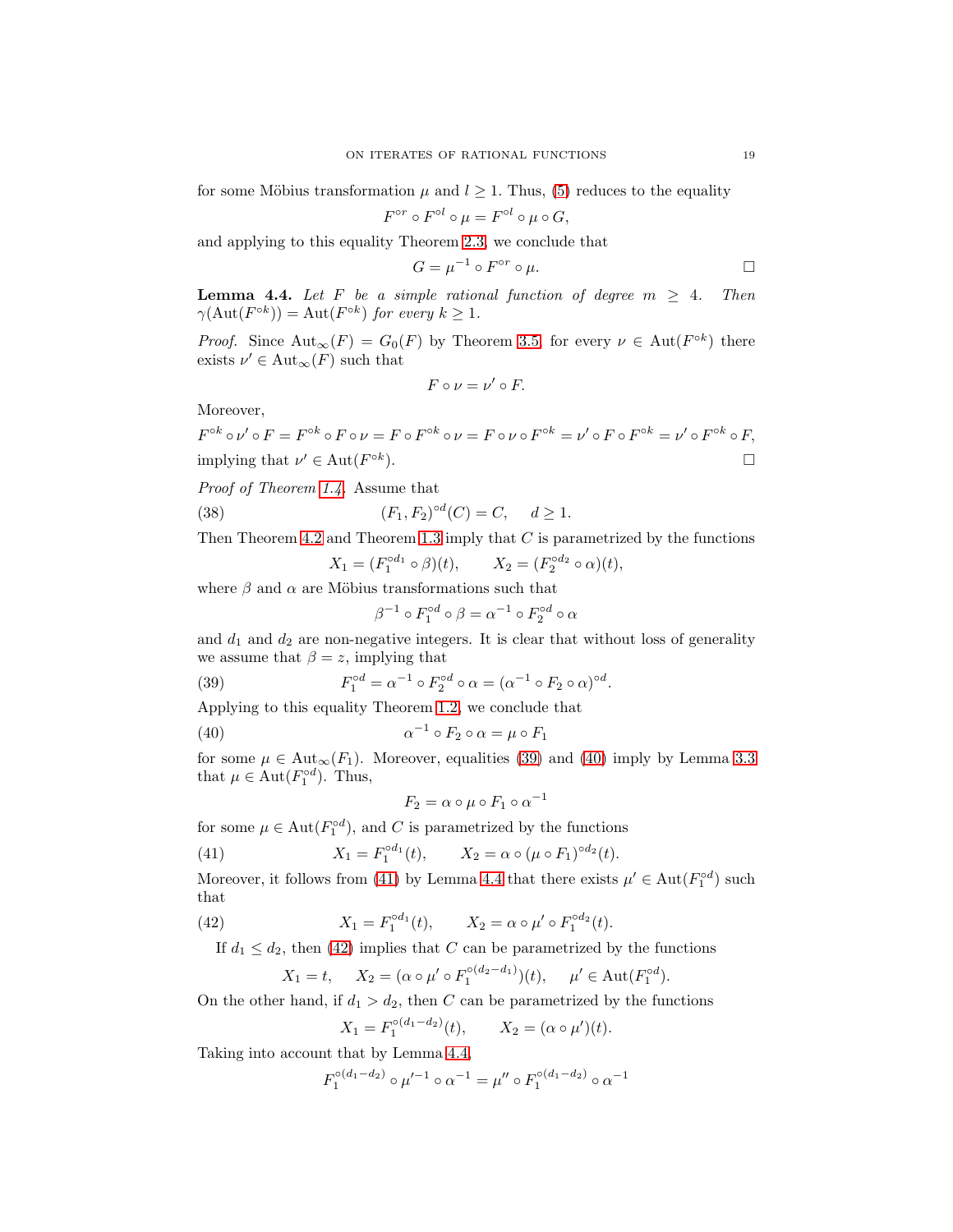for some Möbius transformation  $\mu$  and  $l \geq 1$ . Thus, [\(5\)](#page-2-4) reduces to the equality

$$
F^{\circ r} \circ F^{\circ l} \circ \mu = F^{\circ l} \circ \mu \circ G,
$$

and applying to this equality Theorem [2.3,](#page-6-0) we conclude that

$$
G = \mu^{-1} \circ F^{\circ r} \circ \mu.
$$

<span id="page-18-3"></span>**Lemma 4.4.** Let F be a simple rational function of degree  $m \geq 4$ . Then  $\gamma(\text{Aut}(F^{\circ k})) = \text{Aut}(F^{\circ k})$  for every  $k \geq 1$ .

*Proof.* Since  $\text{Aut}_{\infty}(F) = G_0(F)$  by Theorem [3.5,](#page-13-0) for every  $\nu \in \text{Aut}(F^{\circ k})$  there exists  $\nu' \in \text{Aut}_{\infty}(F)$  such that

$$
F\circ\nu=\nu'\circ F.
$$

Moreover,

$$
F^{\circ k} \circ \nu' \circ F = F^{\circ k} \circ F \circ \nu = F \circ F^{\circ k} \circ \nu = F \circ \nu \circ F^{\circ k} = \nu' \circ F \circ F^{\circ k} = \nu' \circ F^{\circ k} \circ F,
$$
  
implying that  $\nu' \in Aut(F^{\circ k}).$ 

*Proof of Theorem [1.4.](#page-3-2)* Assume that

<span id="page-18-5"></span>(38) 
$$
(F_1, F_2)^{\circ d}(C) = C, \quad d \ge 1.
$$

Then Theorem [4.2](#page-17-2) and Theorem [1.3](#page-2-3) imply that  $C$  is parametrized by the functions

$$
X_1 = (F_1^{\circ d_1} \circ \beta)(t), \qquad X_2 = (F_2^{\circ d_2} \circ \alpha)(t),
$$

where  $\beta$  and  $\alpha$  are Möbius transformations such that

$$
\beta^{-1} \circ F_1^{\circ d} \circ \beta = \alpha^{-1} \circ F_2^{\circ d} \circ \alpha
$$

and  $d_1$  and  $d_2$  are non-negative integers. It is clear that without loss of generality we assume that  $\beta = z$ , implying that

<span id="page-18-0"></span>(39) 
$$
F_1^{\circ d} = \alpha^{-1} \circ F_2^{\circ d} \circ \alpha = (\alpha^{-1} \circ F_2 \circ \alpha)^{\circ d}.
$$

Applying to this equality Theorem [1.2,](#page-2-0) we conclude that

<span id="page-18-1"></span>(40) 
$$
\alpha^{-1} \circ F_2 \circ \alpha = \mu \circ F_1
$$

for some  $\mu \in \text{Aut}_{\infty}(F_1)$ . Moreover, equalities [\(39\)](#page-18-0) and [\(40\)](#page-18-1) imply by Lemma [3.3](#page-12-7) that  $\mu \in \text{Aut}(F_1^{\circ d})$ . Thus,

$$
F_2 = \alpha \circ \mu \circ F_1 \circ \alpha^{-1}
$$

for some  $\mu \in \text{Aut}(F_1^{\text{od}})$ , and C is parametrized by the functions

<span id="page-18-2"></span>(41) 
$$
X_1 = F_1^{\circ d_1}(t), \qquad X_2 = \alpha \circ (\mu \circ F_1)^{\circ d_2}(t).
$$

Moreover, it follows from [\(41\)](#page-18-2) by Lemma [4.4](#page-18-3) that there exists  $\mu' \in \text{Aut}(F_1^{\text{od}})$  such that

<span id="page-18-4"></span>(42) 
$$
X_1 = F_1^{\circ d_1}(t), \qquad X_2 = \alpha \circ \mu' \circ F_1^{\circ d_2}(t).
$$

If  $d_1 \leq d_2$ , then [\(42\)](#page-18-4) implies that C can be parametrized by the functions

$$
X_1 = t
$$
,  $X_2 = (\alpha \circ \mu' \circ F_1^{\circ (d_2 - d_1)})(t)$ ,  $\mu' \in \text{Aut}(F_1^{\circ d})$ .

On the other hand, if  $d_1 > d_2$ , then C can be parametrized by the functions

$$
X_1 = F_1^{\circ (d_1 - d_2)}(t), \qquad X_2 = (\alpha \circ \mu')(t).
$$

Taking into account that by Lemma [4.4,](#page-18-3)

$$
F_1^{\circ(d_1-d_2)} \circ \mu'^{-1} \circ \alpha^{-1} = \mu'' \circ F_1^{\circ(d_1-d_2)} \circ \alpha^{-1}
$$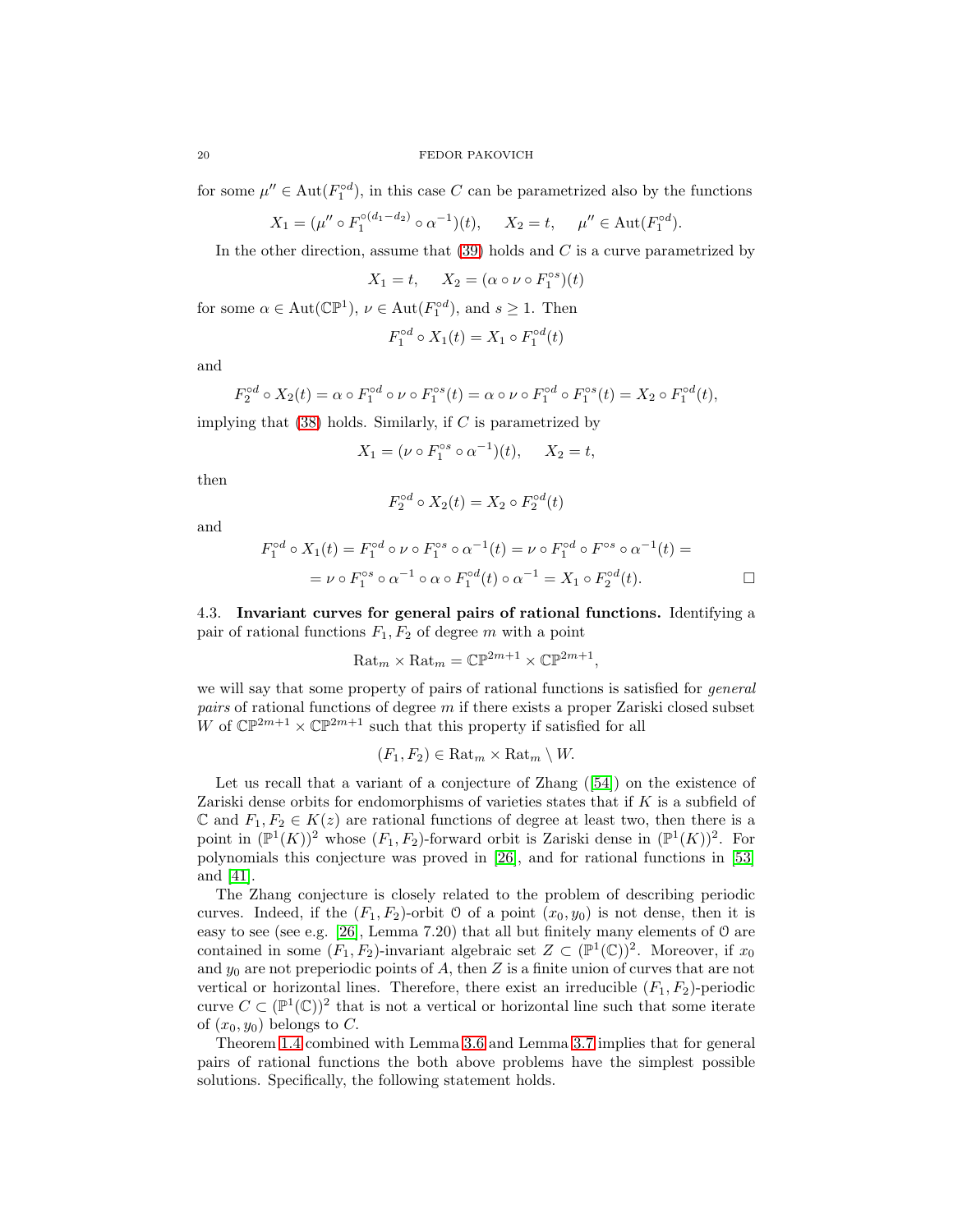for some  $\mu'' \in \text{Aut}(F_1^{\text{od}})$ , in this case C can be parametrized also by the functions

$$
X_1 = (\mu'' \circ F_1^{\circ (d_1 - d_2)} \circ \alpha^{-1})(t), \quad X_2 = t, \quad \mu'' \in \text{Aut}(F_1^{\circ d}).
$$

In the other direction, assume that  $(39)$  holds and C is a curve parametrized by

$$
X_1 = t, \quad X_2 = (\alpha \circ \nu \circ F_1^{\circ s})(t)
$$

for some  $\alpha \in \text{Aut}(\mathbb{CP}^1)$ ,  $\nu \in \text{Aut}(F_1^{\circ d})$ , and  $s \geq 1$ . Then

$$
F_1^{\circ d} \circ X_1(t) = X_1 \circ F_1^{\circ d}(t)
$$

and

$$
F_2^{\circ d} \circ X_2(t) = \alpha \circ F_1^{\circ d} \circ \nu \circ F_1^{\circ s}(t) = \alpha \circ \nu \circ F_1^{\circ d} \circ F_1^{\circ s}(t) = X_2 \circ F_1^{\circ d}(t),
$$

implying that  $(38)$  holds. Similarly, if C is parametrized by

$$
X_1 = (\nu \circ F_1^{\circ s} \circ \alpha^{-1})(t), \quad X_2 = t,
$$

then

$$
F_2^{\circ d} \circ X_2(t) = X_2 \circ F_2^{\circ d}(t)
$$

and

$$
F_1^{\circ d} \circ X_1(t) = F_1^{\circ d} \circ \nu \circ F_1^{\circ s} \circ \alpha^{-1}(t) = \nu \circ F_1^{\circ d} \circ F^{\circ s} \circ \alpha^{-1}(t) =
$$
  
=  $\nu \circ F_1^{\circ s} \circ \alpha^{-1} \circ \alpha \circ F_1^{\circ d}(t) \circ \alpha^{-1} = X_1 \circ F_2^{\circ d}(t).$ 

<span id="page-19-0"></span>4.3. Invariant curves for general pairs of rational functions. Identifying a pair of rational functions  $F_1, F_2$  of degree m with a point

$$
\text{Rat}_m \times \text{Rat}_m = \mathbb{CP}^{2m+1} \times \mathbb{CP}^{2m+1},
$$

we will say that some property of pairs of rational functions is satisfied for *general pairs* of rational functions of degree m if there exists a proper Zariski closed subset W of  $\mathbb{CP}^{2m+1} \times \mathbb{CP}^{2m+1}$  such that this property if satisfied for all

$$
(F_1, F_2) \in \text{Rat}_m \times \text{Rat}_m \setminus W.
$$

Let us recall that a variant of a conjecture of Zhang  $(54)$  on the existence of Zariski dense orbits for endomorphisms of varieties states that if K is a subfield of  $\mathbb C$  and  $F_1, F_2 \in K(z)$  are rational functions of degree at least two, then there is a point in  $(\mathbb{P}^1(K))^2$  whose  $(F_1, F_2)$ -forward orbit is Zariski dense in  $(\mathbb{P}^1(K))^2$ . For polynomials this conjecture was proved in [\[26\]](#page-21-4), and for rational functions in [\[53\]](#page-22-3) and [\[41\]](#page-21-5).

The Zhang conjecture is closely related to the problem of describing periodic curves. Indeed, if the  $(F_1, F_2)$ -orbit O of a point  $(x_0, y_0)$  is not dense, then it is easy to see (see e.g. [\[26\]](#page-21-4), Lemma 7.20) that all but finitely many elements of O are contained in some  $(F_1, F_2)$ -invariant algebraic set  $Z \subset (\mathbb{P}^1(\mathbb{C}))^2$ . Moreover, if  $x_0$ and  $y_0$  are not preperiodic points of A, then Z is a finite union of curves that are not vertical or horizontal lines. Therefore, there exist an irreducible  $(F_1, F_2)$ -periodic curve  $C \subset (\mathbb{P}^1(\mathbb{C}))^2$  that is not a vertical or horizontal line such that some iterate of  $(x_0, y_0)$  belongs to C.

Theorem [1.4](#page-3-2) combined with Lemma [3.6](#page-14-4) and Lemma [3.7](#page-14-3) implies that for general pairs of rational functions the both above problems have the simplest possible solutions. Specifically, the following statement holds.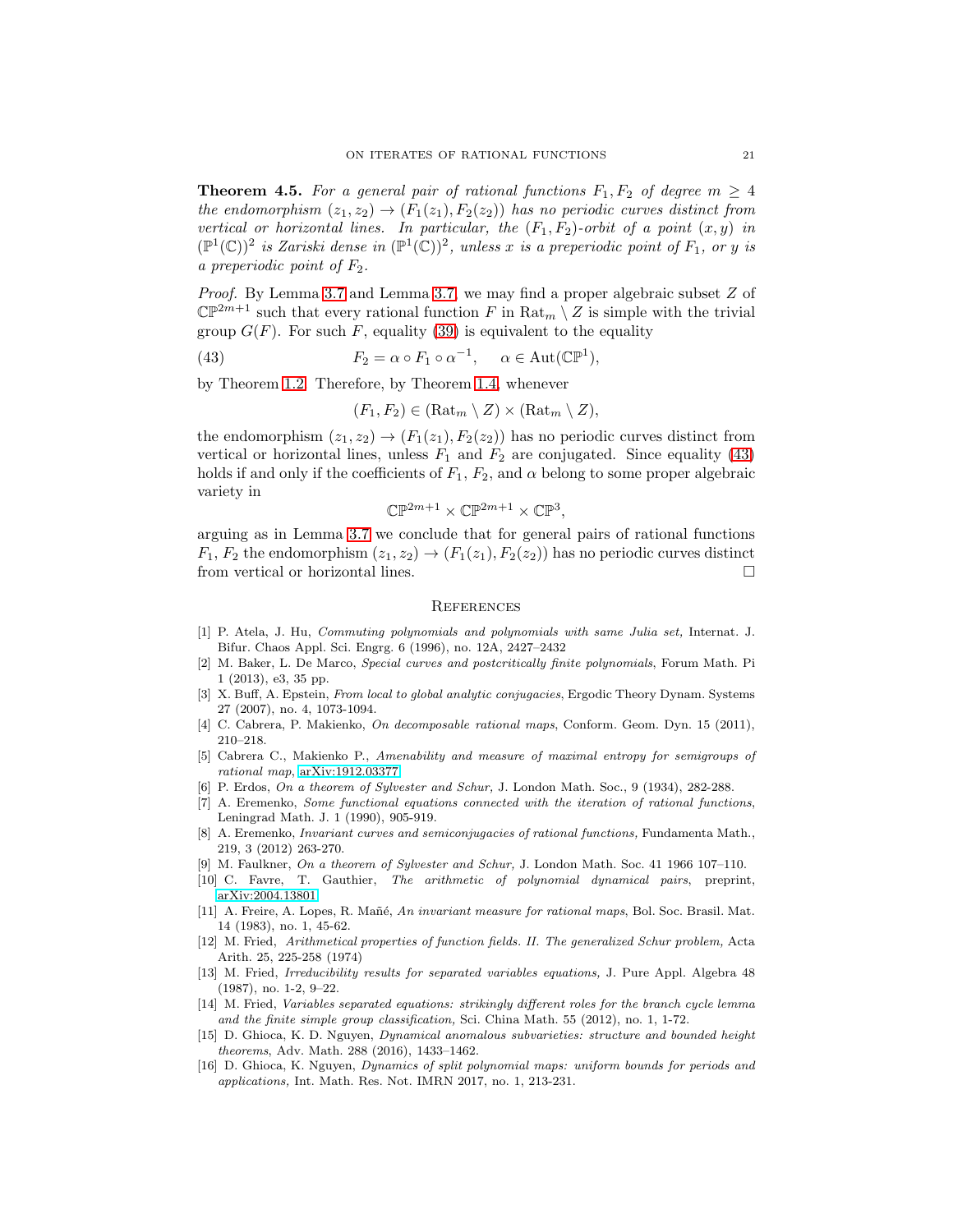**Theorem 4.5.** For a general pair of rational functions  $F_1, F_2$  of degree  $m \geq 4$ *the endomorphism*  $(z_1, z_2) \rightarrow (F_1(z_1), F_2(z_2))$  *has no periodic curves distinct from vertical or horizontal lines. In particular, the*  $(F_1, F_2)$ -orbit of a point  $(x, y)$  in  $(\mathbb{P}^1(\mathbb{C}))^2$  *is Zariski dense in*  $(\mathbb{P}^1(\mathbb{C}))^2$ *, unless* x *is a preperiodic point of*  $F_1$ *, or* y *is a preperiodic point of* F2*.*

*Proof.* By Lemma [3.7](#page-14-3) and Lemma [3.7,](#page-14-3) we may find a proper algebraic subset Z of  $\mathbb{CP}^{2m+1}$  such that every rational function F in  $\text{Rat}_m \setminus Z$  is simple with the trivial group  $G(F)$ . For such F, equality [\(39\)](#page-18-0) is equivalent to the equality

<span id="page-20-16"></span>(43) 
$$
F_2 = \alpha \circ F_1 \circ \alpha^{-1}, \quad \alpha \in \text{Aut}(\mathbb{CP}^1),
$$

by Theorem [1.2.](#page-2-0) Therefore, by Theorem [1.4,](#page-3-2) whenever

$$
(F_1, F_2) \in (\mathrm{Rat}_m \setminus Z) \times (\mathrm{Rat}_m \setminus Z),
$$

the endomorphism  $(z_1, z_2) \rightarrow (F_1(z_1), F_2(z_2))$  has no periodic curves distinct from vertical or horizontal lines, unless  $F_1$  and  $F_2$  are conjugated. Since equality [\(43\)](#page-20-16) holds if and only if the coefficients of  $F_1, F_2$ , and  $\alpha$  belong to some proper algebraic variety in

$$
\mathbb{CP}^{2m+1} \times \mathbb{CP}^{2m+1} \times \mathbb{CP}^3,
$$

arguing as in Lemma [3.7](#page-14-3) we conclude that for general pairs of rational functions  $F_1, F_2$  the endomorphism  $(z_1, z_2) \rightarrow (F_1(z_1), F_2(z_2))$  has no periodic curves distinct from vertical or horizontal lines. from vertical or horizontal lines.

### **REFERENCES**

- <span id="page-20-15"></span>[1] P. Atela, J. Hu, Commuting polynomials and polynomials with same Julia set, Internat. J. Bifur. Chaos Appl. Sci. Engrg. 6 (1996), no. 12A, 2427–2432
- <span id="page-20-4"></span>[2] M. Baker, L. De Marco, Special curves and postcritically finite polynomials, Forum Math. Pi 1 (2013), e3, 35 pp.
- <span id="page-20-1"></span>[3] X. Buff, A. Epstein, From local to global analytic conjugacies, Ergodic Theory Dynam. Systems 27 (2007), no. 4, 1073-1094.
- <span id="page-20-14"></span><span id="page-20-0"></span>[4] C. Cabrera, P. Makienko, On decomposable rational maps, Conform. Geom. Dyn. 15 (2011), 210–218.
- [5] Cabrera C., Makienko P., Amenability and measure of maximal entropy for semigroups of rational map, [arXiv:1912.03377.](http://arxiv.org/abs/1912.03377)
- <span id="page-20-12"></span><span id="page-20-10"></span>[6] P. Erdos, On a theorem of Sylvester and Schur, J. London Math. Soc., 9 (1934), 282-288.
- [7] A. Eremenko, Some functional equations connected with the iteration of rational functions, Leningrad Math. J. 1 (1990), 905-919.
- <span id="page-20-2"></span>[8] A. Eremenko, Invariant curves and semiconjugacies of rational functions, Fundamenta Math., 219, 3 (2012) 263-270.
- <span id="page-20-11"></span><span id="page-20-3"></span>[9] M. Faulkner, On a theorem of Sylvester and Schur, J. London Math. Soc. 41 1966 107–110.
- <span id="page-20-13"></span>[10] C. Favre, T. Gauthier, The arithmetic of polynomial dynamical pairs, preprint, [arXiv:2004.13801.](http://arxiv.org/abs/2004.13801)
- [11] A. Freire, A. Lopes, R. Mañé, An invariant measure for rational maps, Bol. Soc. Brasil. Mat. 14 (1983), no. 1, 45-62.
- <span id="page-20-7"></span>[12] M. Fried, Arithmetical properties of function fields. II. The generalized Schur problem, Acta Arith. 25, 225-258 (1974)
- <span id="page-20-8"></span>[13] M. Fried, Irreducibility results for separated variables equations, J. Pure Appl. Algebra 48 (1987), no. 1-2, 9–22.
- <span id="page-20-9"></span>[14] M. Fried, Variables separated equations: strikingly different roles for the branch cycle lemma and the finite simple group classification, Sci. China Math. 55 (2012), no. 1, 1-72.
- <span id="page-20-5"></span>[15] D. Ghioca, K. D. Nguyen, Dynamical anomalous subvarieties: structure and bounded height theorems, Adv. Math. 288 (2016), 1433–1462.
- <span id="page-20-6"></span>[16] D. Ghioca, K. Nguyen, Dynamics of split polynomial maps: uniform bounds for periods and applications, Int. Math. Res. Not. IMRN 2017, no. 1, 213-231.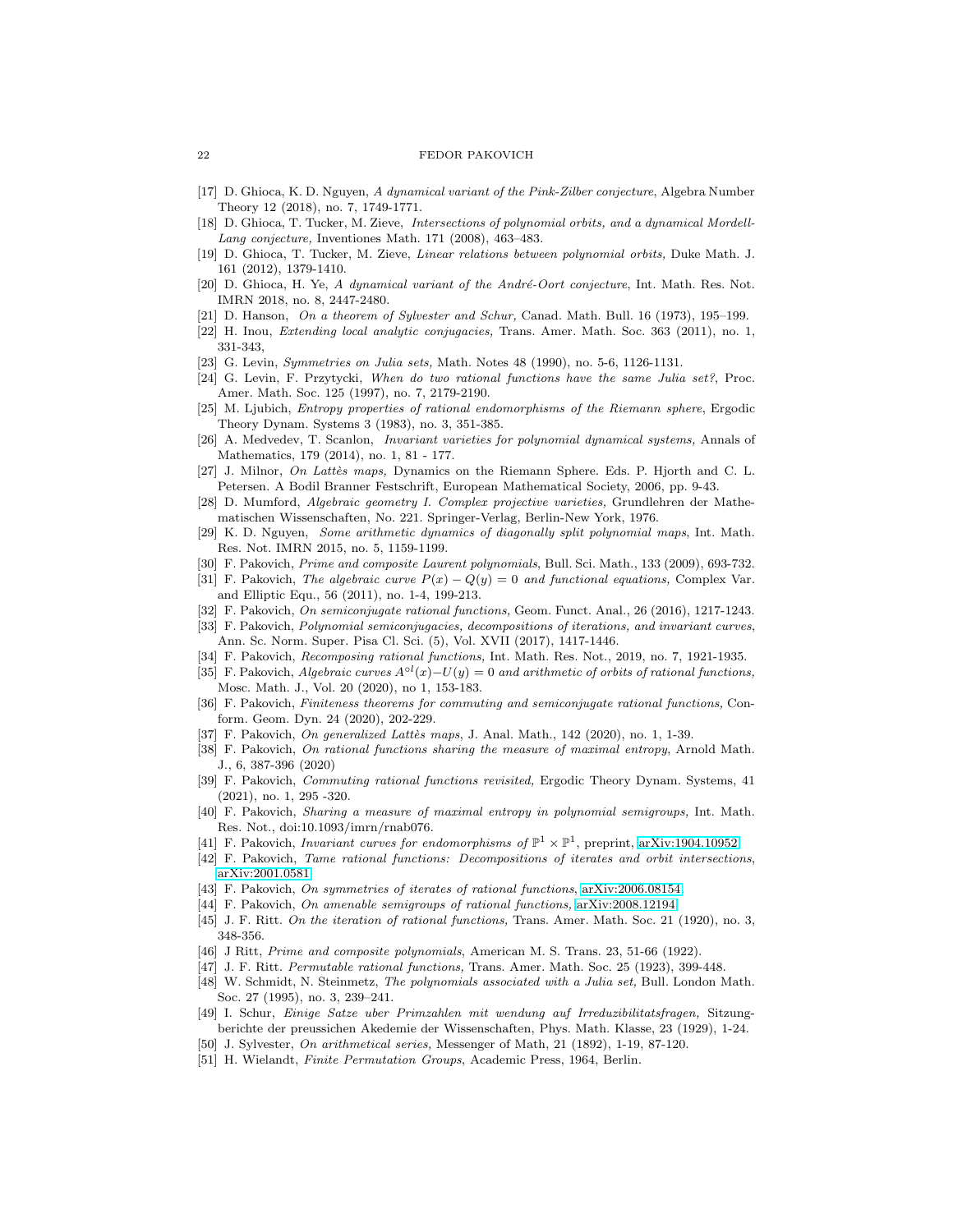- [17] D. Ghioca, K. D. Nguyen, A dynamical variant of the Pink-Zilber conjecture, Algebra Number Theory 12 (2018), no. 7, 1749-1771.
- <span id="page-21-2"></span>[18] D. Ghioca, T. Tucker, M. Zieve, Intersections of polynomial orbits, and a dynamical Mordell-Lang conjecture, Inventiones Math. 171 (2008), 463–483.
- <span id="page-21-3"></span>[19] D. Ghioca, T. Tucker, M. Zieve, Linear relations between polynomial orbits, Duke Math. J. 161 (2012), 1379-1410.
- <span id="page-21-19"></span>[20] D. Ghioca, H. Ye, A dynamical variant of the André-Oort conjecture, Int. Math. Res. Not. IMRN 2018, no. 8, 2447-2480.
- <span id="page-21-24"></span><span id="page-21-12"></span>[21] D. Hanson, On a theorem of Sylvester and Schur, Canad. Math. Bull. 16 (1973), 195–199.
- [22] H. Inou, Extending local analytic conjugacies, Trans. Amer. Math. Soc. 363 (2011), no. 1, 331-343,
- <span id="page-21-11"></span><span id="page-21-10"></span>[23] G. Levin, *Symmetries on Julia sets*, Math. Notes 48 (1990), no. 5-6, 1126-1131.
- [24] G. Levin, F. Przytycki, When do two rational functions have the same Julia set?, Proc. Amer. Math. Soc. 125 (1997), no. 7, 2179-2190.
- <span id="page-21-28"></span>[25] M. Ljubich, Entropy properties of rational endomorphisms of the Riemann sphere, Ergodic Theory Dynam. Systems 3 (1983), no. 3, 351-385.
- <span id="page-21-4"></span>[26] A. Medvedev, T. Scanlon, Invariant varieties for polynomial dynamical systems, Annals of Mathematics, 179 (2014), no. 1, 81 - 177.
- <span id="page-21-34"></span>[27] J. Milnor, On Lattès maps, Dynamics on the Riemann Sphere. Eds. P. Hjorth and C. L. Petersen. A Bodil Branner Festschrift, European Mathematical Society, 2006, pp. 9-43.
- <span id="page-21-33"></span>[28] D. Mumford, Algebraic geometry I. Complex projective varieties, Grundlehren der Mathematischen Wissenschaften, No. 221. Springer-Verlag, Berlin-New York, 1976.
- <span id="page-21-20"></span>[29] K. D. Nguyen, Some arithmetic dynamics of diagonally split polynomial maps, Int. Math. Res. Not. IMRN 2015, no. 5, 1159-1199.
- <span id="page-21-8"></span><span id="page-21-1"></span>[30] F. Pakovich, Prime and composite Laurent polynomials, Bull. Sci. Math., 133 (2009), 693-732.
- [31] F. Pakovich, The algebraic curve  $P(x) Q(y) = 0$  and functional equations, Complex Var. and Elliptic Equ., 56 (2011), no. 1-4, 199-213.
- <span id="page-21-14"></span><span id="page-21-6"></span>[32] F. Pakovich, On semiconjugate rational functions, Geom. Funct. Anal., 26 (2016), 1217-1243.
- [33] F. Pakovich, Polynomial semiconjugacies, decompositions of iterations, and invariant curves, Ann. Sc. Norm. Super. Pisa Cl. Sci. (5), Vol. XVII (2017), 1417-1446.
- <span id="page-21-15"></span><span id="page-21-13"></span>[34] F. Pakovich, Recomposing rational functions, Int. Math. Res. Not., 2019, no. 7, 1921-1935.
- [35] F. Pakovich, Algebraic curves  $A^{\circ l}(x) U(y) = 0$  and arithmetic of orbits of rational functions, Mosc. Math. J., Vol. 20 (2020), no 1, 153-183.
- <span id="page-21-16"></span>[36] F. Pakovich, Finiteness theorems for commuting and semiconjugate rational functions, Conform. Geom. Dyn. 24 (2020), 202-229.
- <span id="page-21-31"></span><span id="page-21-17"></span>[37] F. Pakovich, On generalized Lattès maps, J. Anal. Math., 142 (2020), no. 1, 1-39.
- [38] F. Pakovich, On rational functions sharing the measure of maximal entropy, Arnold Math. J., 6, 387-396 (2020)
- <span id="page-21-25"></span>[39] F. Pakovich, Commuting rational functions revisited, Ergodic Theory Dynam. Systems, 41 (2021), no. 1, 295 -320.
- <span id="page-21-30"></span>[40] F. Pakovich, Sharing a measure of maximal entropy in polynomial semigroups, Int. Math. Res. Not., doi:10.1093/imrn/rnab076.
- <span id="page-21-7"></span><span id="page-21-5"></span>[41] F. Pakovich, *Invariant curves for endomorphisms of*  $\mathbb{P}^1 \times \mathbb{P}^1$ , preprint, [arXiv:1904.10952.](http://arxiv.org/abs/1904.10952)
- <span id="page-21-32"></span>[42] F. Pakovich, Tame rational functions: Decompositions of iterates and orbit intersections, [arXiv:2001.0581.](http://arxiv.org/abs/2001.0581)
- <span id="page-21-27"></span>[43] F. Pakovich, On symmetries of iterates of rational functions, [arXiv:2006.08154.](http://arxiv.org/abs/2006.08154)
- <span id="page-21-26"></span>[44] F. Pakovich, On amenable semigroups of rational functions, [arXiv:2008.12194.](http://arxiv.org/abs/2008.12194)
- <span id="page-21-0"></span>[45] J. F. Ritt. On the iteration of rational functions, Trans. Amer. Math. Soc. 21 (1920), no. 3, 348-356.
- <span id="page-21-9"></span>[46] J Ritt, Prime and composite polynomials, American M. S. Trans. 23, 51-66 (1922).
- <span id="page-21-29"></span>[47] J. F. Ritt. Permutable rational functions, Trans. Amer. Math. Soc. 25 (1923), 399-448.
- [48] W. Schmidt, N. Steinmetz, The polynomials associated with a Julia set, Bull. London Math. Soc. 27 (1995), no. 3, 239–241.
- <span id="page-21-22"></span>[49] I. Schur, Einige Satze uber Primzahlen mit wendung auf Irreduzibilitatsfragen, Sitzungberichte der preussichen Akedemie der Wissenschaften, Phys. Math. Klasse, 23 (1929), 1-24.
- <span id="page-21-23"></span><span id="page-21-21"></span>[50] J. Sylvester, On arithmetical series, Messenger of Math, 21 (1892), 1-19, 87-120.
- [51] H. Wielandt, Finite Permutation Groups, Academic Press, 1964, Berlin.

<span id="page-21-18"></span>